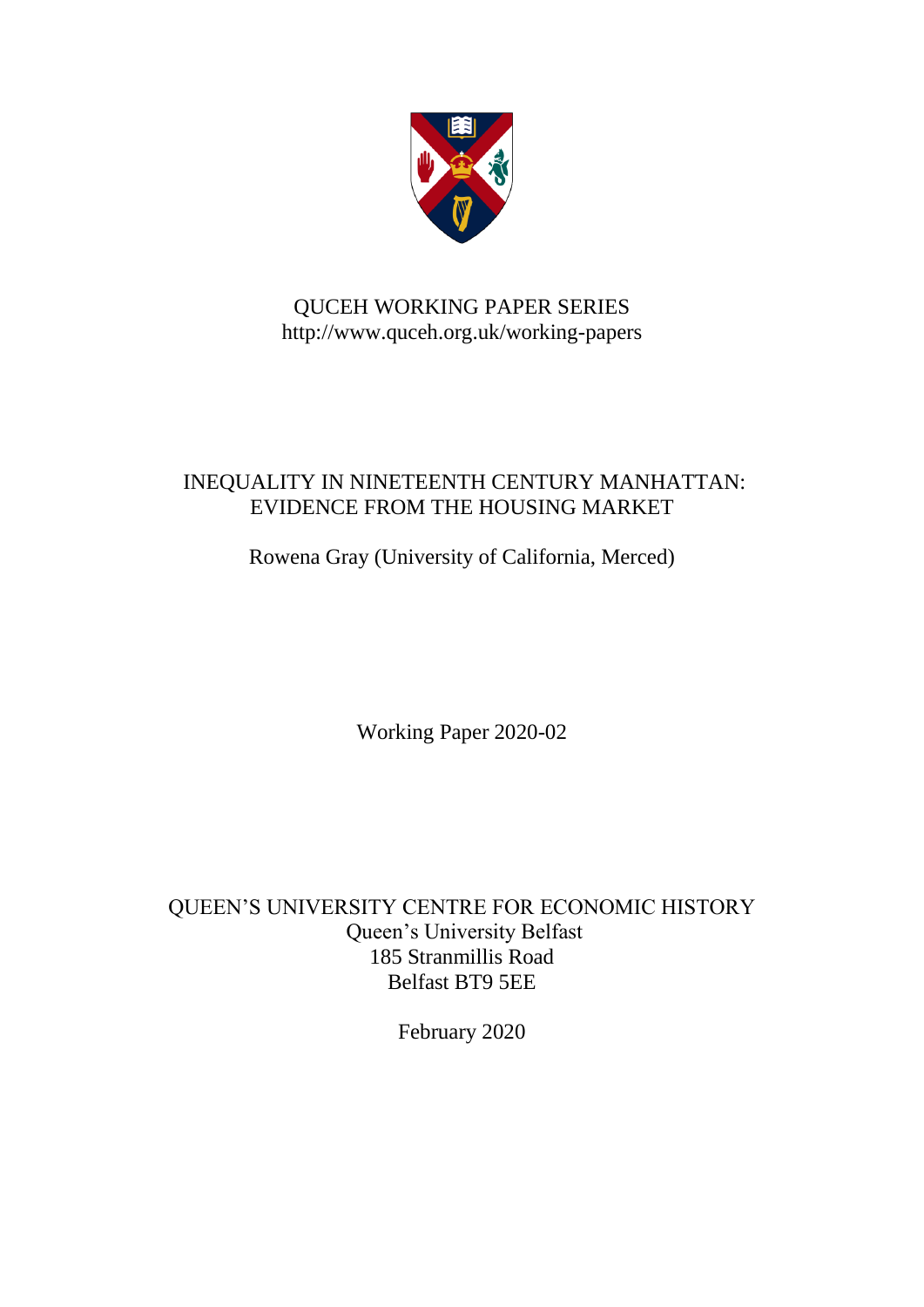

## QUCEH WORKING PAPER SERIES http://www.quceh.org.uk/working-papers

## INEQUALITY IN NINETEENTH CENTURY MANHATTAN: EVIDENCE FROM THE HOUSING MARKET

Rowena Gray (University of California, Merced)

Working Paper 2020-02

QUEEN'S UNIVERSITY CENTRE FOR ECONOMIC HISTORY Queen's University Belfast 185 Stranmillis Road Belfast BT9 5EE

February 2020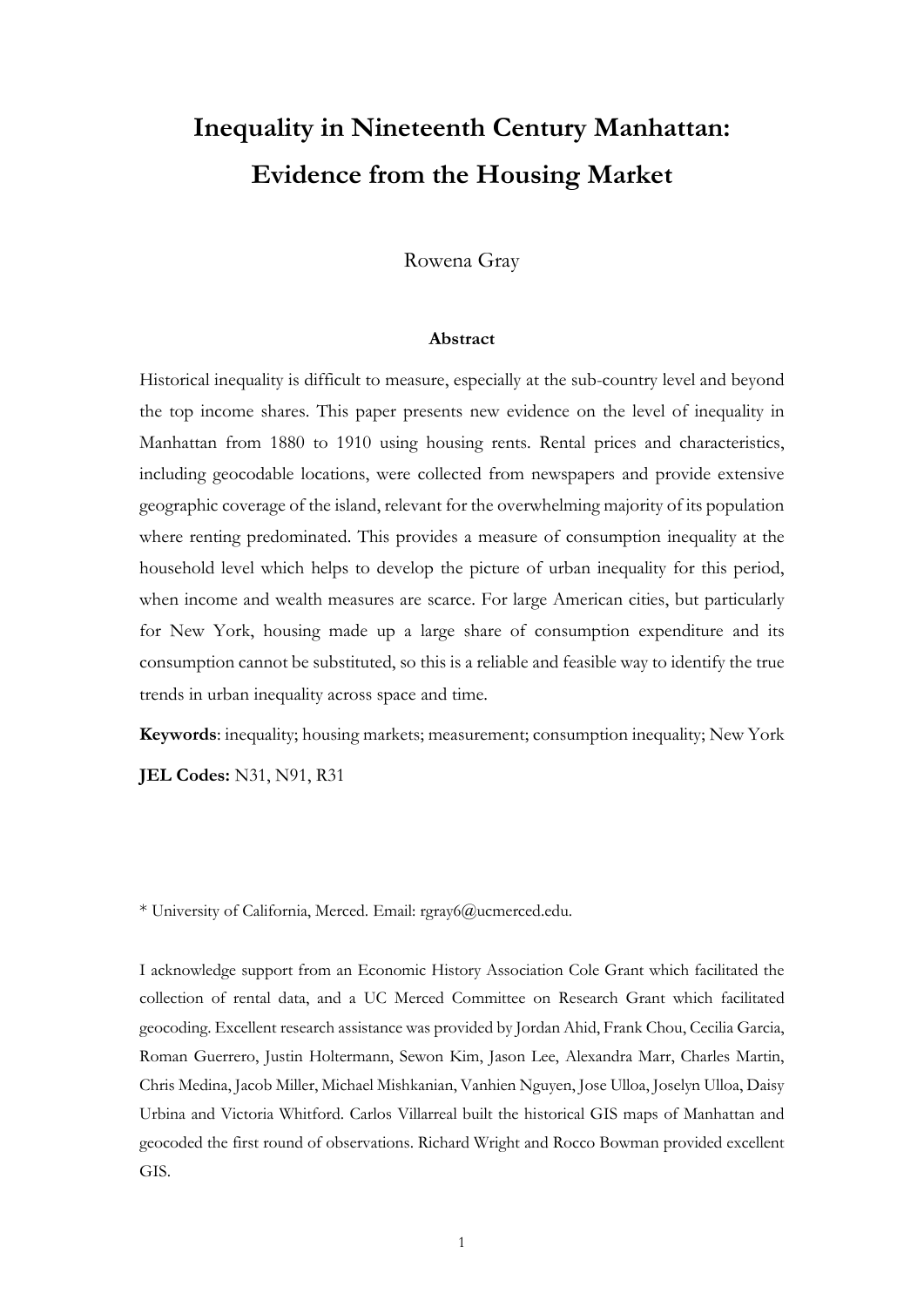# **Inequality in Nineteenth Century Manhattan: Evidence from the Housing Market**

Rowena Gray

#### **Abstract**

Historical inequality is difficult to measure, especially at the sub-country level and beyond the top income shares. This paper presents new evidence on the level of inequality in Manhattan from 1880 to 1910 using housing rents. Rental prices and characteristics, including geocodable locations, were collected from newspapers and provide extensive geographic coverage of the island, relevant for the overwhelming majority of its population where renting predominated. This provides a measure of consumption inequality at the household level which helps to develop the picture of urban inequality for this period, when income and wealth measures are scarce. For large American cities, but particularly for New York, housing made up a large share of consumption expenditure and its consumption cannot be substituted, so this is a reliable and feasible way to identify the true trends in urban inequality across space and time.

**Keywords**: inequality; housing markets; measurement; consumption inequality; New York

**JEL Codes:** N31, N91, R31

\* University of California, Merced. Email: rgray6@ucmerced.edu.

I acknowledge support from an Economic History Association Cole Grant which facilitated the collection of rental data, and a UC Merced Committee on Research Grant which facilitated geocoding. Excellent research assistance was provided by Jordan Ahid, Frank Chou, Cecilia Garcia, Roman Guerrero, Justin Holtermann, Sewon Kim, Jason Lee, Alexandra Marr, Charles Martin, Chris Medina, Jacob Miller, Michael Mishkanian, Vanhien Nguyen, Jose Ulloa, Joselyn Ulloa, Daisy Urbina and Victoria Whitford. Carlos Villarreal built the historical GIS maps of Manhattan and geocoded the first round of observations. Richard Wright and Rocco Bowman provided excellent GIS.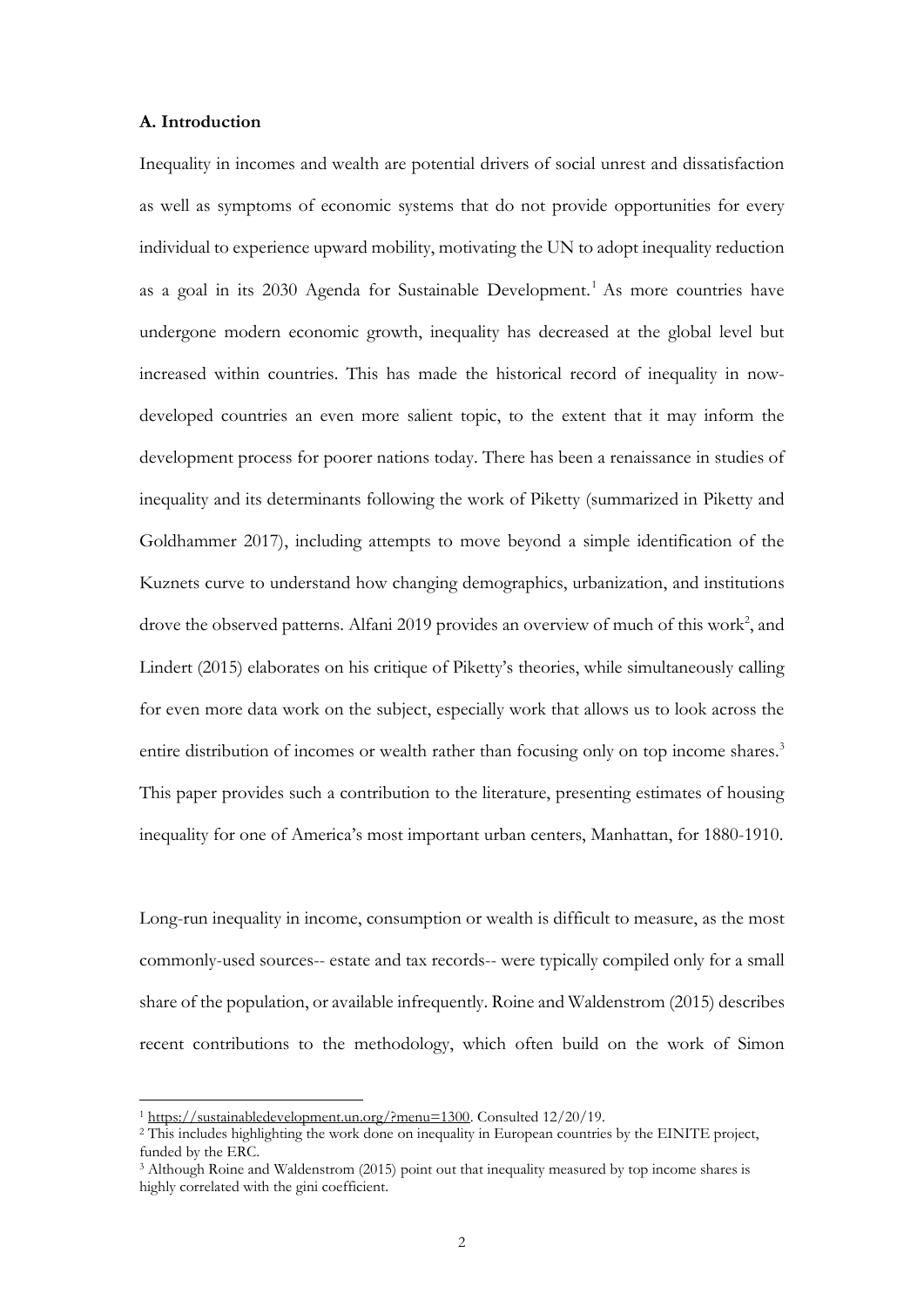#### **A. Introduction**

Inequality in incomes and wealth are potential drivers of social unrest and dissatisfaction as well as symptoms of economic systems that do not provide opportunities for every individual to experience upward mobility, motivating the UN to adopt inequality reduction as a goal in its 2030 Agenda for Sustainable Development. <sup>1</sup> As more countries have undergone modern economic growth, inequality has decreased at the global level but increased within countries. This has made the historical record of inequality in nowdeveloped countries an even more salient topic, to the extent that it may inform the development process for poorer nations today. There has been a renaissance in studies of inequality and its determinants following the work of Piketty (summarized in Piketty and Goldhammer 2017), including attempts to move beyond a simple identification of the Kuznets curve to understand how changing demographics, urbanization, and institutions drove the observed patterns. Alfani 2019 provides an overview of much of this work<sup>2</sup>, and Lindert (2015) elaborates on his critique of Piketty's theories, while simultaneously calling for even more data work on the subject, especially work that allows us to look across the entire distribution of incomes or wealth rather than focusing only on top income shares.<sup>3</sup> This paper provides such a contribution to the literature, presenting estimates of housing inequality for one of America's most important urban centers, Manhattan, for 1880-1910.

Long-run inequality in income, consumption or wealth is difficult to measure, as the most commonly-used sources-- estate and tax records-- were typically compiled only for a small share of the population, or available infrequently. Roine and Waldenstrom (2015) describes recent contributions to the methodology, which often build on the work of Simon

 $\overline{\phantom{a}}$ 

<sup>1</sup> [https://sustainabledevelopment.un.org/?menu=1300.](https://sustainabledevelopment.un.org/?menu=1300) Consulted 12/20/19.

<sup>2</sup> This includes highlighting the work done on inequality in European countries by the EINITE project, funded by the ERC.

<sup>&</sup>lt;sup>3</sup> Although Roine and Waldenstrom (2015) point out that inequality measured by top income shares is highly correlated with the gini coefficient.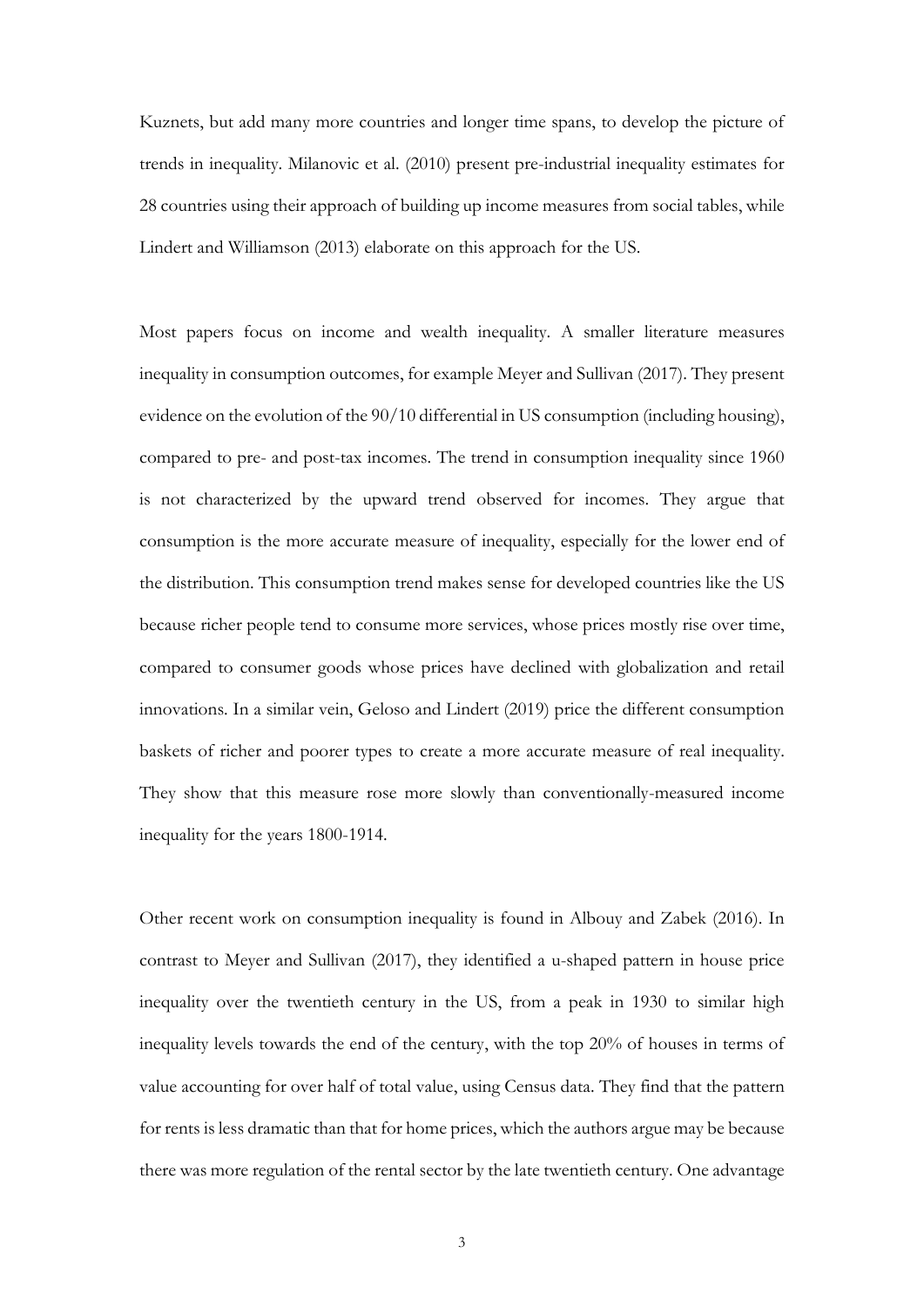Kuznets, but add many more countries and longer time spans, to develop the picture of trends in inequality. Milanovic et al. (2010) present pre-industrial inequality estimates for 28 countries using their approach of building up income measures from social tables, while Lindert and Williamson (2013) elaborate on this approach for the US.

Most papers focus on income and wealth inequality. A smaller literature measures inequality in consumption outcomes, for example Meyer and Sullivan (2017). They present evidence on the evolution of the 90/10 differential in US consumption (including housing), compared to pre- and post-tax incomes. The trend in consumption inequality since 1960 is not characterized by the upward trend observed for incomes. They argue that consumption is the more accurate measure of inequality, especially for the lower end of the distribution. This consumption trend makes sense for developed countries like the US because richer people tend to consume more services, whose prices mostly rise over time, compared to consumer goods whose prices have declined with globalization and retail innovations. In a similar vein, Geloso and Lindert (2019) price the different consumption baskets of richer and poorer types to create a more accurate measure of real inequality. They show that this measure rose more slowly than conventionally-measured income inequality for the years 1800-1914.

Other recent work on consumption inequality is found in Albouy and Zabek (2016). In contrast to Meyer and Sullivan (2017), they identified a u-shaped pattern in house price inequality over the twentieth century in the US, from a peak in 1930 to similar high inequality levels towards the end of the century, with the top 20% of houses in terms of value accounting for over half of total value, using Census data. They find that the pattern for rents is less dramatic than that for home prices, which the authors argue may be because there was more regulation of the rental sector by the late twentieth century. One advantage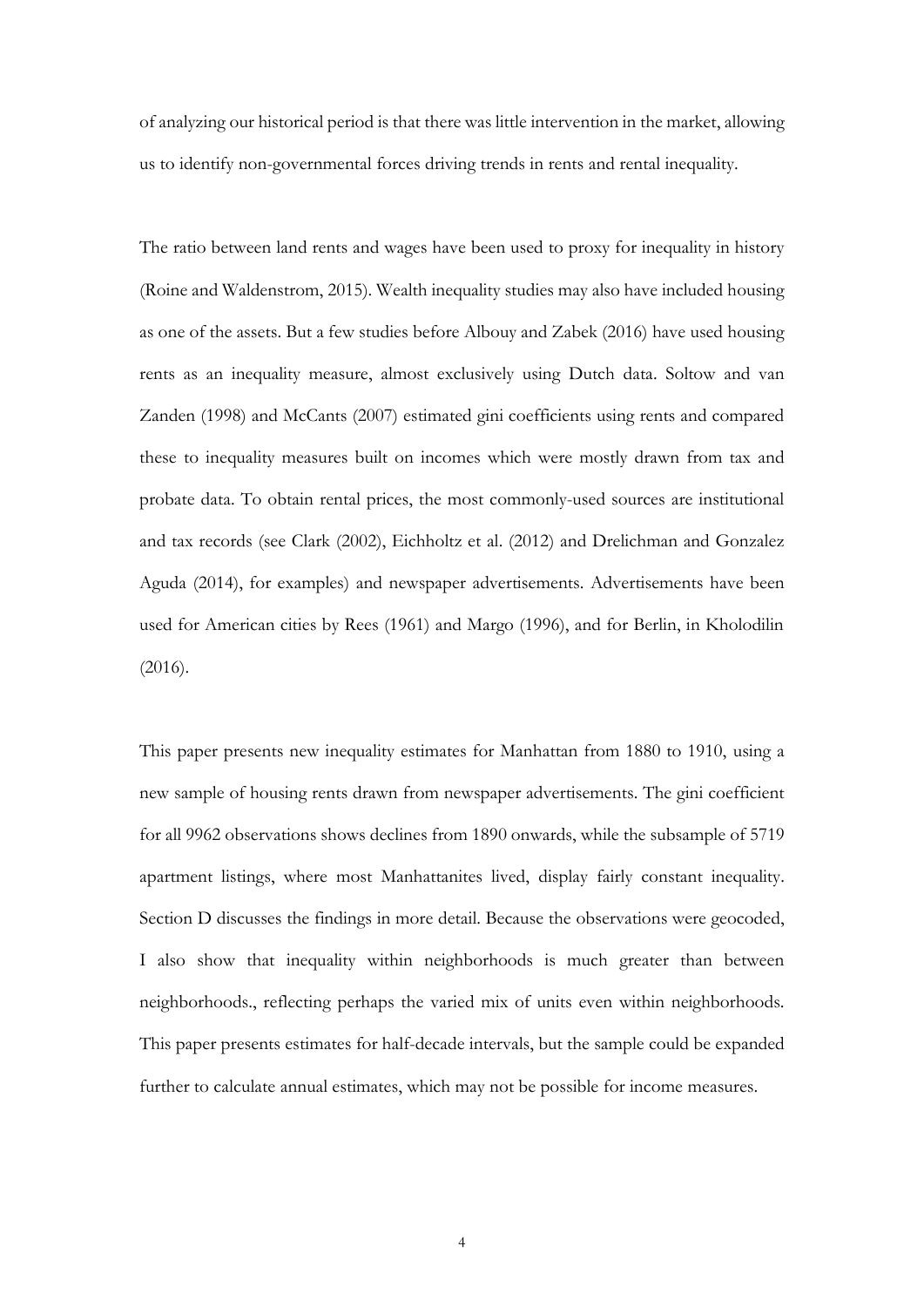of analyzing our historical period is that there was little intervention in the market, allowing us to identify non-governmental forces driving trends in rents and rental inequality.

The ratio between land rents and wages have been used to proxy for inequality in history (Roine and Waldenstrom, 2015). Wealth inequality studies may also have included housing as one of the assets. But a few studies before Albouy and Zabek (2016) have used housing rents as an inequality measure, almost exclusively using Dutch data. Soltow and van Zanden (1998) and McCants (2007) estimated gini coefficients using rents and compared these to inequality measures built on incomes which were mostly drawn from tax and probate data. To obtain rental prices, the most commonly-used sources are institutional and tax records (see Clark (2002), Eichholtz et al. (2012) and Drelichman and Gonzalez Aguda (2014), for examples) and newspaper advertisements. Advertisements have been used for American cities by Rees (1961) and Margo (1996), and for Berlin, in Kholodilin (2016).

This paper presents new inequality estimates for Manhattan from 1880 to 1910, using a new sample of housing rents drawn from newspaper advertisements. The gini coefficient for all 9962 observations shows declines from 1890 onwards, while the subsample of 5719 apartment listings, where most Manhattanites lived, display fairly constant inequality. Section D discusses the findings in more detail. Because the observations were geocoded, I also show that inequality within neighborhoods is much greater than between neighborhoods., reflecting perhaps the varied mix of units even within neighborhoods. This paper presents estimates for half-decade intervals, but the sample could be expanded further to calculate annual estimates, which may not be possible for income measures.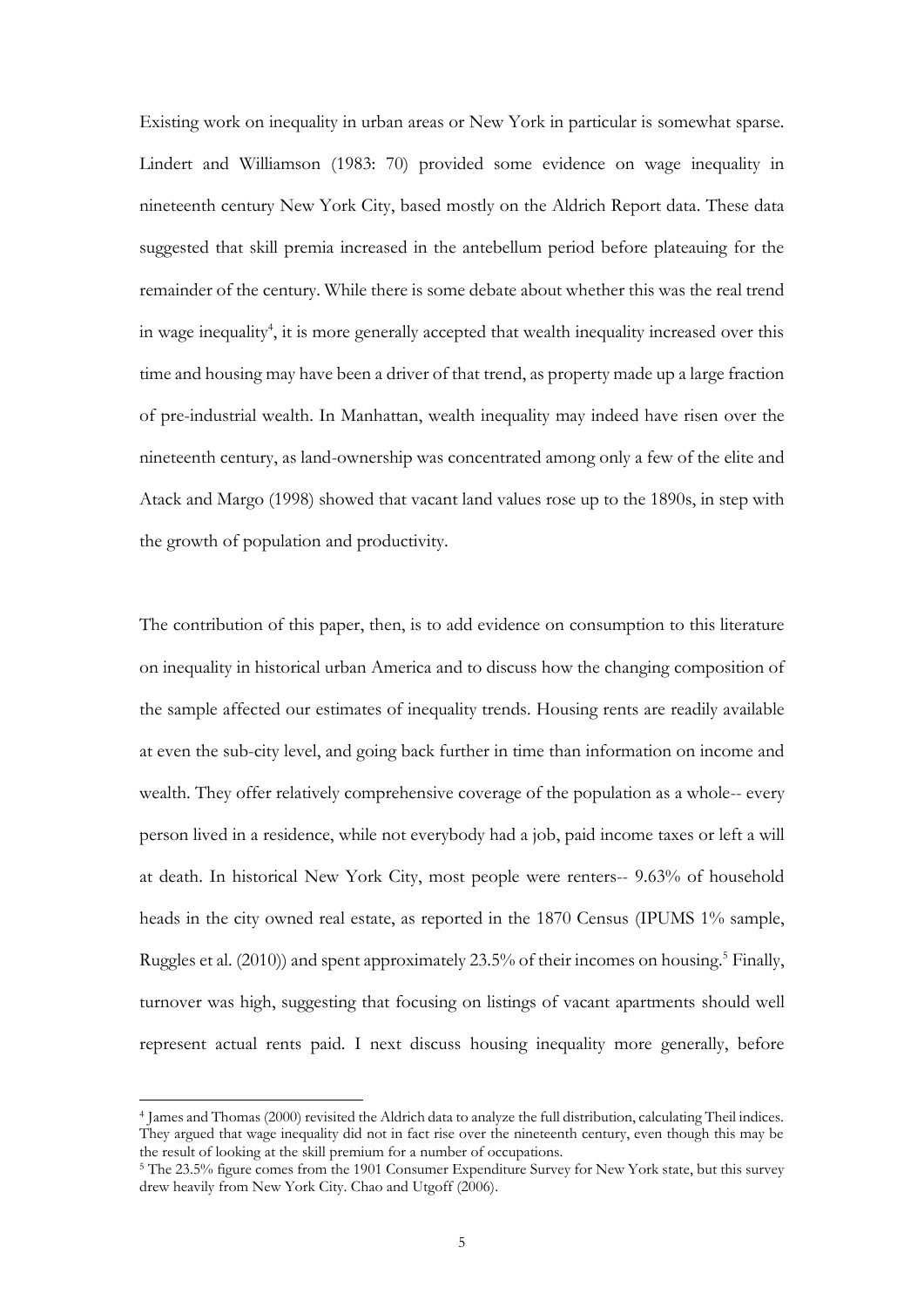Existing work on inequality in urban areas or New York in particular is somewhat sparse. Lindert and Williamson (1983: 70) provided some evidence on wage inequality in nineteenth century New York City, based mostly on the Aldrich Report data. These data suggested that skill premia increased in the antebellum period before plateauing for the remainder of the century. While there is some debate about whether this was the real trend in wage inequality<sup>4</sup>, it is more generally accepted that wealth inequality increased over this time and housing may have been a driver of that trend, as property made up a large fraction of pre-industrial wealth. In Manhattan, wealth inequality may indeed have risen over the nineteenth century, as land-ownership was concentrated among only a few of the elite and Atack and Margo (1998) showed that vacant land values rose up to the 1890s, in step with the growth of population and productivity.

The contribution of this paper, then, is to add evidence on consumption to this literature on inequality in historical urban America and to discuss how the changing composition of the sample affected our estimates of inequality trends. Housing rents are readily available at even the sub-city level, and going back further in time than information on income and wealth. They offer relatively comprehensive coverage of the population as a whole-- every person lived in a residence, while not everybody had a job, paid income taxes or left a will at death. In historical New York City, most people were renters-- 9.63% of household heads in the city owned real estate, as reported in the 1870 Census (IPUMS 1% sample, Ruggles et al. (2010)) and spent approximately 23.5% of their incomes on housing. <sup>5</sup> Finally, turnover was high, suggesting that focusing on listings of vacant apartments should well represent actual rents paid. I next discuss housing inequality more generally, before

 $\overline{\phantom{a}}$ 

<sup>4</sup> James and Thomas (2000) revisited the Aldrich data to analyze the full distribution, calculating Theil indices. They argued that wage inequality did not in fact rise over the nineteenth century, even though this may be the result of looking at the skill premium for a number of occupations.

<sup>5</sup> The 23.5% figure comes from the 1901 Consumer Expenditure Survey for New York state, but this survey drew heavily from New York City. Chao and Utgoff (2006).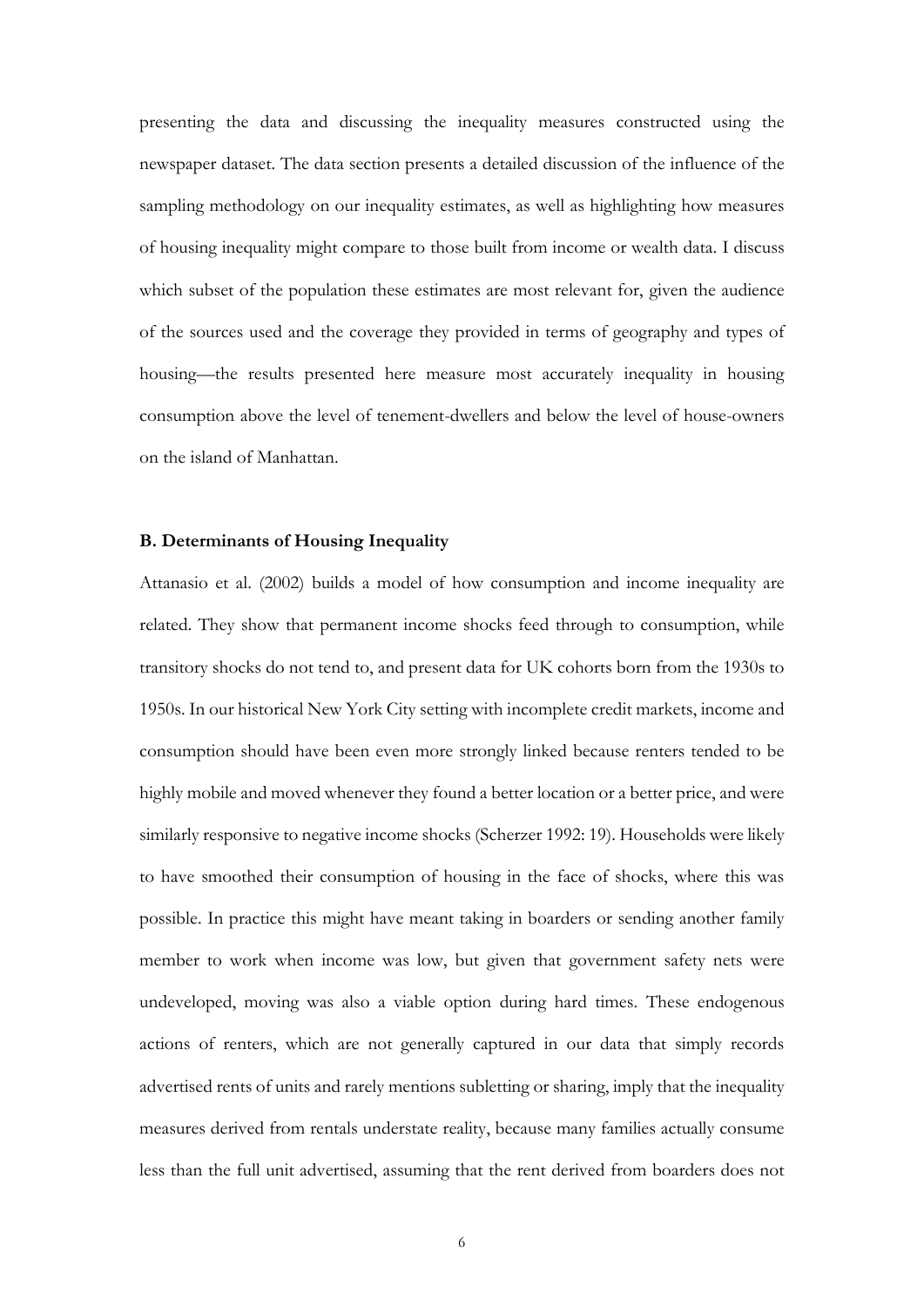presenting the data and discussing the inequality measures constructed using the newspaper dataset. The data section presents a detailed discussion of the influence of the sampling methodology on our inequality estimates, as well as highlighting how measures of housing inequality might compare to those built from income or wealth data. I discuss which subset of the population these estimates are most relevant for, given the audience of the sources used and the coverage they provided in terms of geography and types of housing—the results presented here measure most accurately inequality in housing consumption above the level of tenement-dwellers and below the level of house-owners on the island of Manhattan.

#### **B. Determinants of Housing Inequality**

Attanasio et al. (2002) builds a model of how consumption and income inequality are related. They show that permanent income shocks feed through to consumption, while transitory shocks do not tend to, and present data for UK cohorts born from the 1930s to 1950s. In our historical New York City setting with incomplete credit markets, income and consumption should have been even more strongly linked because renters tended to be highly mobile and moved whenever they found a better location or a better price, and were similarly responsive to negative income shocks (Scherzer 1992: 19). Households were likely to have smoothed their consumption of housing in the face of shocks, where this was possible. In practice this might have meant taking in boarders or sending another family member to work when income was low, but given that government safety nets were undeveloped, moving was also a viable option during hard times. These endogenous actions of renters, which are not generally captured in our data that simply records advertised rents of units and rarely mentions subletting or sharing, imply that the inequality measures derived from rentals understate reality, because many families actually consume less than the full unit advertised, assuming that the rent derived from boarders does not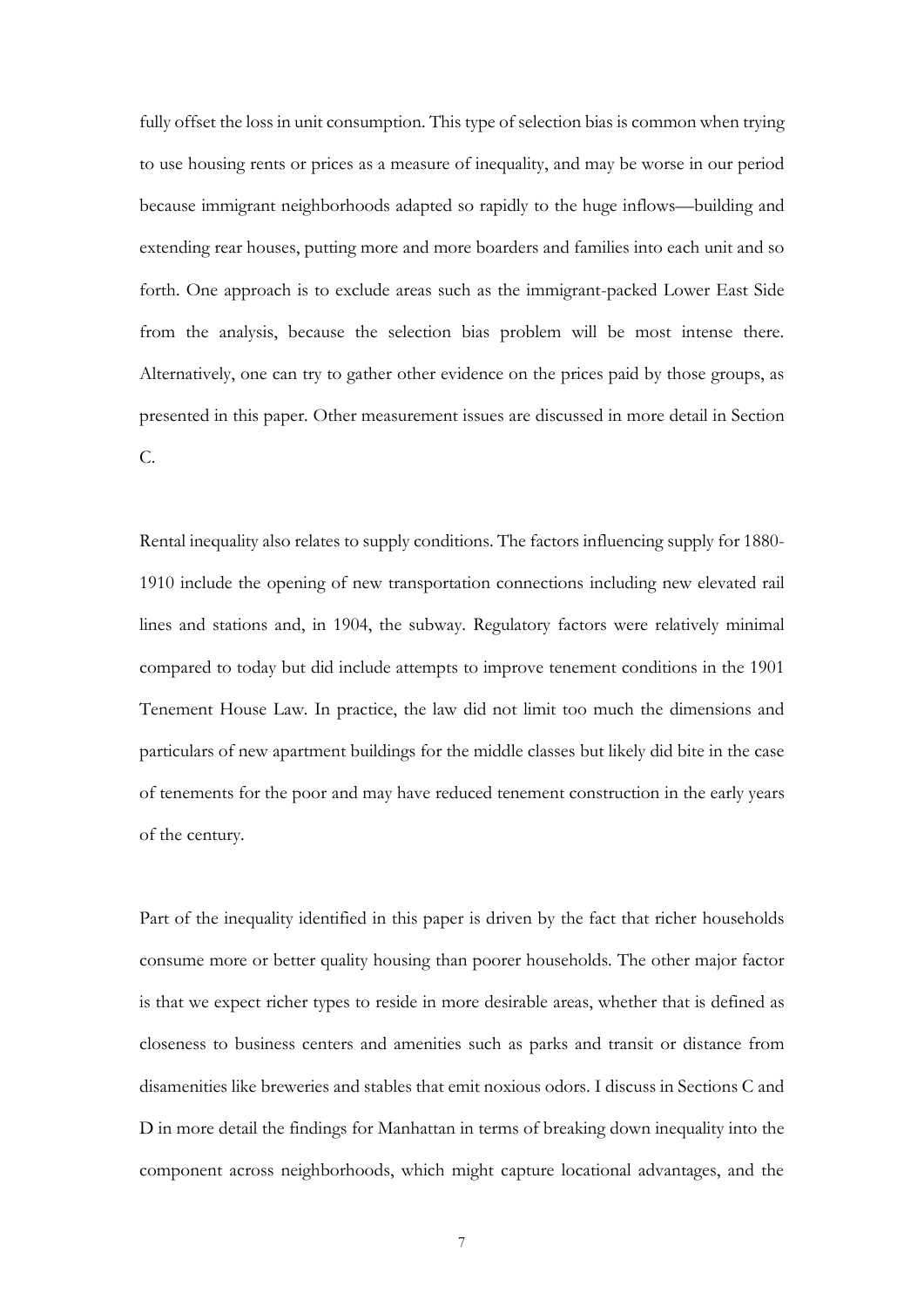fully offset the loss in unit consumption. This type of selection bias is common when trying to use housing rents or prices as a measure of inequality, and may be worse in our period because immigrant neighborhoods adapted so rapidly to the huge inflows—building and extending rear houses, putting more and more boarders and families into each unit and so forth. One approach is to exclude areas such as the immigrant-packed Lower East Side from the analysis, because the selection bias problem will be most intense there. Alternatively, one can try to gather other evidence on the prices paid by those groups, as presented in this paper. Other measurement issues are discussed in more detail in Section C.

Rental inequality also relates to supply conditions. The factors influencing supply for 1880- 1910 include the opening of new transportation connections including new elevated rail lines and stations and, in 1904, the subway. Regulatory factors were relatively minimal compared to today but did include attempts to improve tenement conditions in the 1901 Tenement House Law. In practice, the law did not limit too much the dimensions and particulars of new apartment buildings for the middle classes but likely did bite in the case of tenements for the poor and may have reduced tenement construction in the early years of the century.

Part of the inequality identified in this paper is driven by the fact that richer households consume more or better quality housing than poorer households. The other major factor is that we expect richer types to reside in more desirable areas, whether that is defined as closeness to business centers and amenities such as parks and transit or distance from disamenities like breweries and stables that emit noxious odors. I discuss in Sections C and D in more detail the findings for Manhattan in terms of breaking down inequality into the component across neighborhoods, which might capture locational advantages, and the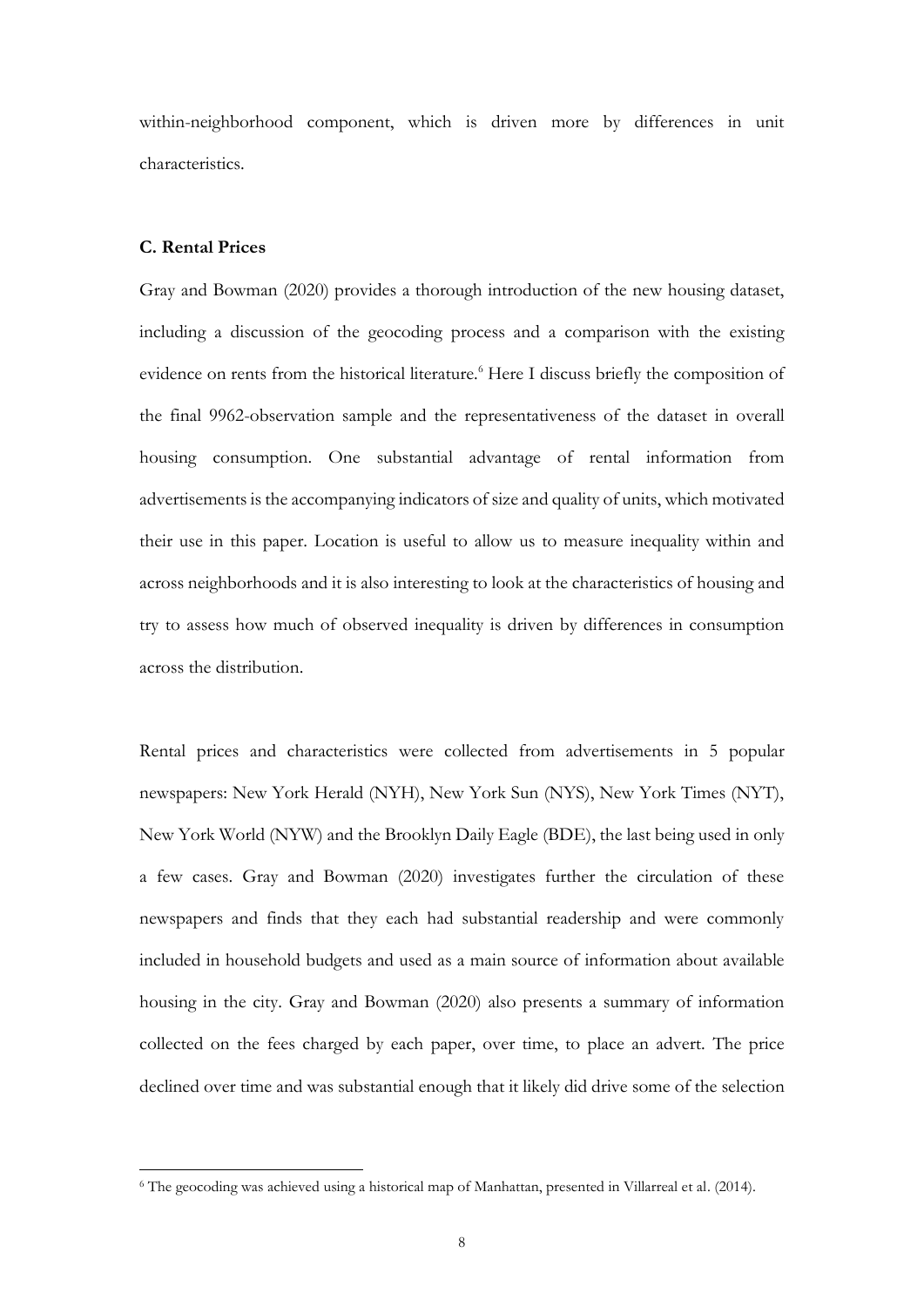within-neighborhood component, which is driven more by differences in unit characteristics.

#### **C. Rental Prices**

 $\overline{\phantom{a}}$ 

Gray and Bowman (2020) provides a thorough introduction of the new housing dataset, including a discussion of the geocoding process and a comparison with the existing evidence on rents from the historical literature.<sup>6</sup> Here I discuss briefly the composition of the final 9962-observation sample and the representativeness of the dataset in overall housing consumption. One substantial advantage of rental information from advertisements is the accompanying indicators of size and quality of units, which motivated their use in this paper. Location is useful to allow us to measure inequality within and across neighborhoods and it is also interesting to look at the characteristics of housing and try to assess how much of observed inequality is driven by differences in consumption across the distribution.

Rental prices and characteristics were collected from advertisements in 5 popular newspapers: New York Herald (NYH), New York Sun (NYS), New York Times (NYT), New York World (NYW) and the Brooklyn Daily Eagle (BDE), the last being used in only a few cases. Gray and Bowman (2020) investigates further the circulation of these newspapers and finds that they each had substantial readership and were commonly included in household budgets and used as a main source of information about available housing in the city. Gray and Bowman (2020) also presents a summary of information collected on the fees charged by each paper, over time, to place an advert. The price declined over time and was substantial enough that it likely did drive some of the selection

<sup>6</sup> The geocoding was achieved using a historical map of Manhattan, presented in Villarreal et al. (2014).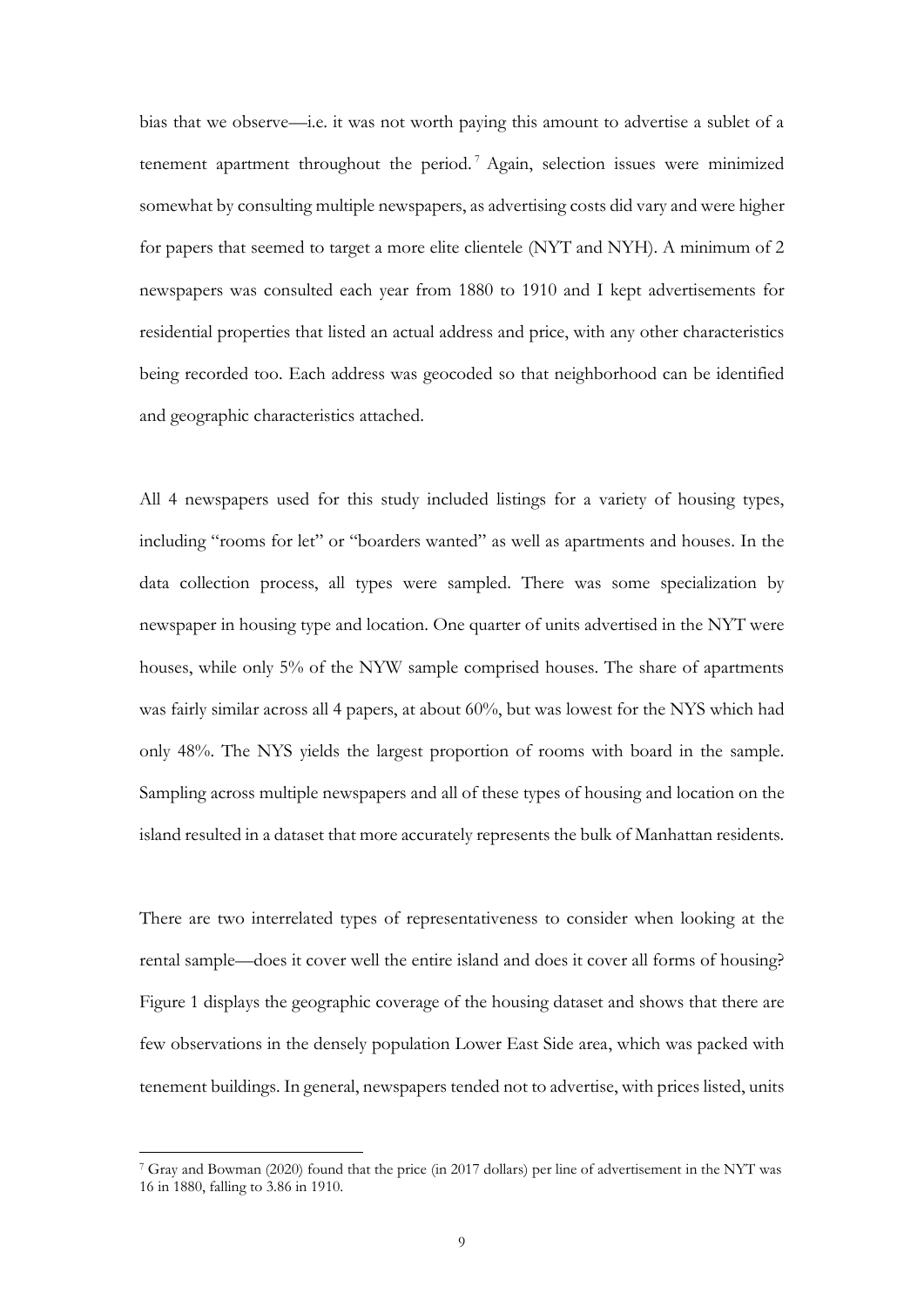bias that we observe—i.e. it was not worth paying this amount to advertise a sublet of a tenement apartment throughout the period.<sup>7</sup> Again, selection issues were minimized somewhat by consulting multiple newspapers, as advertising costs did vary and were higher for papers that seemed to target a more elite clientele (NYT and NYH). A minimum of 2 newspapers was consulted each year from 1880 to 1910 and I kept advertisements for residential properties that listed an actual address and price, with any other characteristics being recorded too. Each address was geocoded so that neighborhood can be identified and geographic characteristics attached.

All 4 newspapers used for this study included listings for a variety of housing types, including "rooms for let" or "boarders wanted" as well as apartments and houses. In the data collection process, all types were sampled. There was some specialization by newspaper in housing type and location. One quarter of units advertised in the NYT were houses, while only 5% of the NYW sample comprised houses. The share of apartments was fairly similar across all 4 papers, at about 60%, but was lowest for the NYS which had only 48%. The NYS yields the largest proportion of rooms with board in the sample. Sampling across multiple newspapers and all of these types of housing and location on the island resulted in a dataset that more accurately represents the bulk of Manhattan residents.

There are two interrelated types of representativeness to consider when looking at the rental sample—does it cover well the entire island and does it cover all forms of housing? Figure 1 displays the geographic coverage of the housing dataset and shows that there are few observations in the densely population Lower East Side area, which was packed with tenement buildings. In general, newspapers tended not to advertise, with prices listed, units

 $\overline{\phantom{a}}$ 

<sup>7</sup> Gray and Bowman (2020) found that the price (in 2017 dollars) per line of advertisement in the NYT was 16 in 1880, falling to 3.86 in 1910.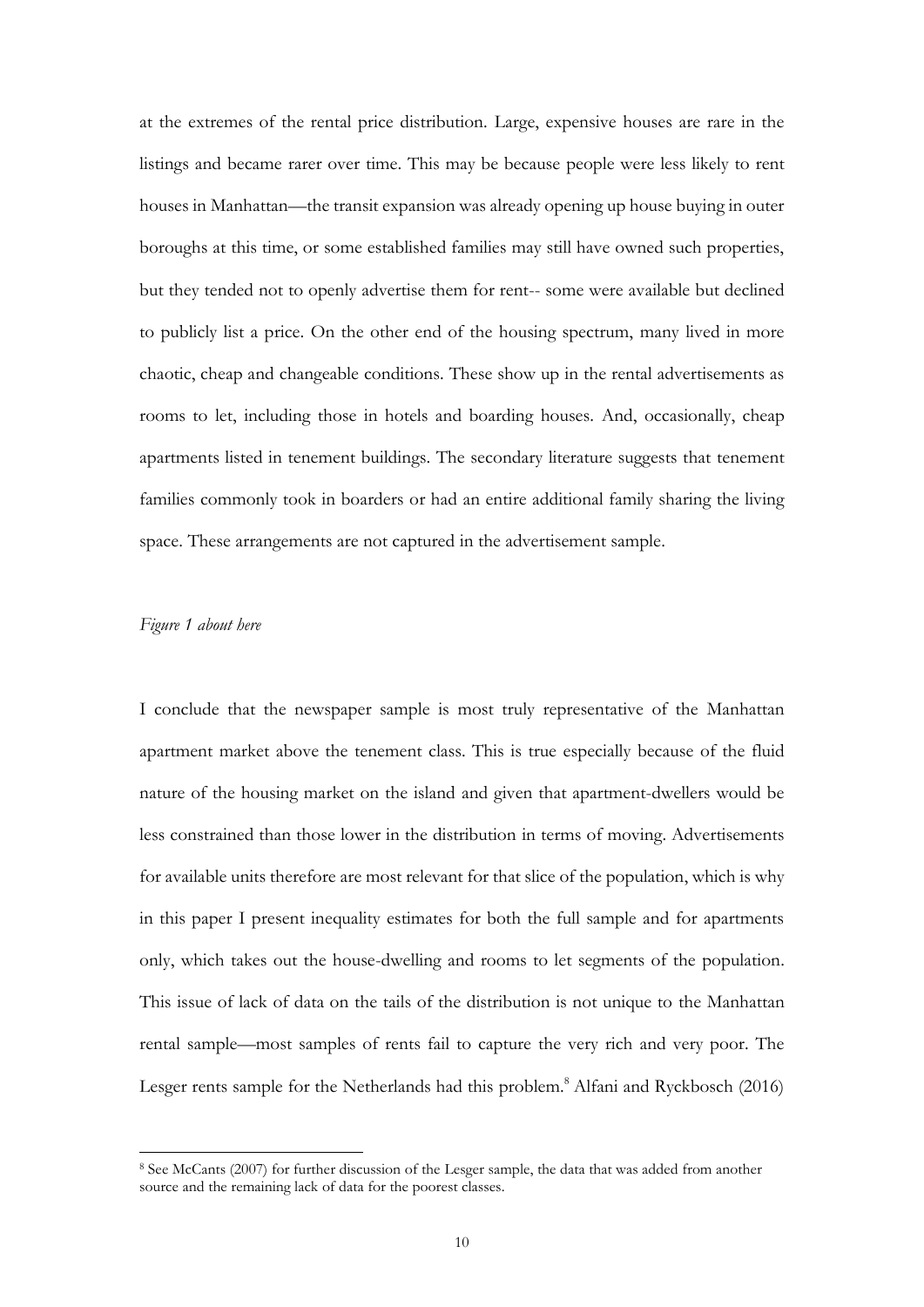at the extremes of the rental price distribution. Large, expensive houses are rare in the listings and became rarer over time. This may be because people were less likely to rent houses in Manhattan—the transit expansion was already opening up house buying in outer boroughs at this time, or some established families may still have owned such properties, but they tended not to openly advertise them for rent-- some were available but declined to publicly list a price. On the other end of the housing spectrum, many lived in more chaotic, cheap and changeable conditions. These show up in the rental advertisements as rooms to let, including those in hotels and boarding houses. And, occasionally, cheap apartments listed in tenement buildings. The secondary literature suggests that tenement families commonly took in boarders or had an entire additional family sharing the living space. These arrangements are not captured in the advertisement sample.

#### *Figure 1 about here*

 $\overline{\phantom{a}}$ 

I conclude that the newspaper sample is most truly representative of the Manhattan apartment market above the tenement class. This is true especially because of the fluid nature of the housing market on the island and given that apartment-dwellers would be less constrained than those lower in the distribution in terms of moving. Advertisements for available units therefore are most relevant for that slice of the population, which is why in this paper I present inequality estimates for both the full sample and for apartments only, which takes out the house-dwelling and rooms to let segments of the population. This issue of lack of data on the tails of the distribution is not unique to the Manhattan rental sample—most samples of rents fail to capture the very rich and very poor. The Lesger rents sample for the Netherlands had this problem. <sup>8</sup> Alfani and Ryckbosch (2016)

<sup>8</sup> See McCants (2007) for further discussion of the Lesger sample, the data that was added from another source and the remaining lack of data for the poorest classes.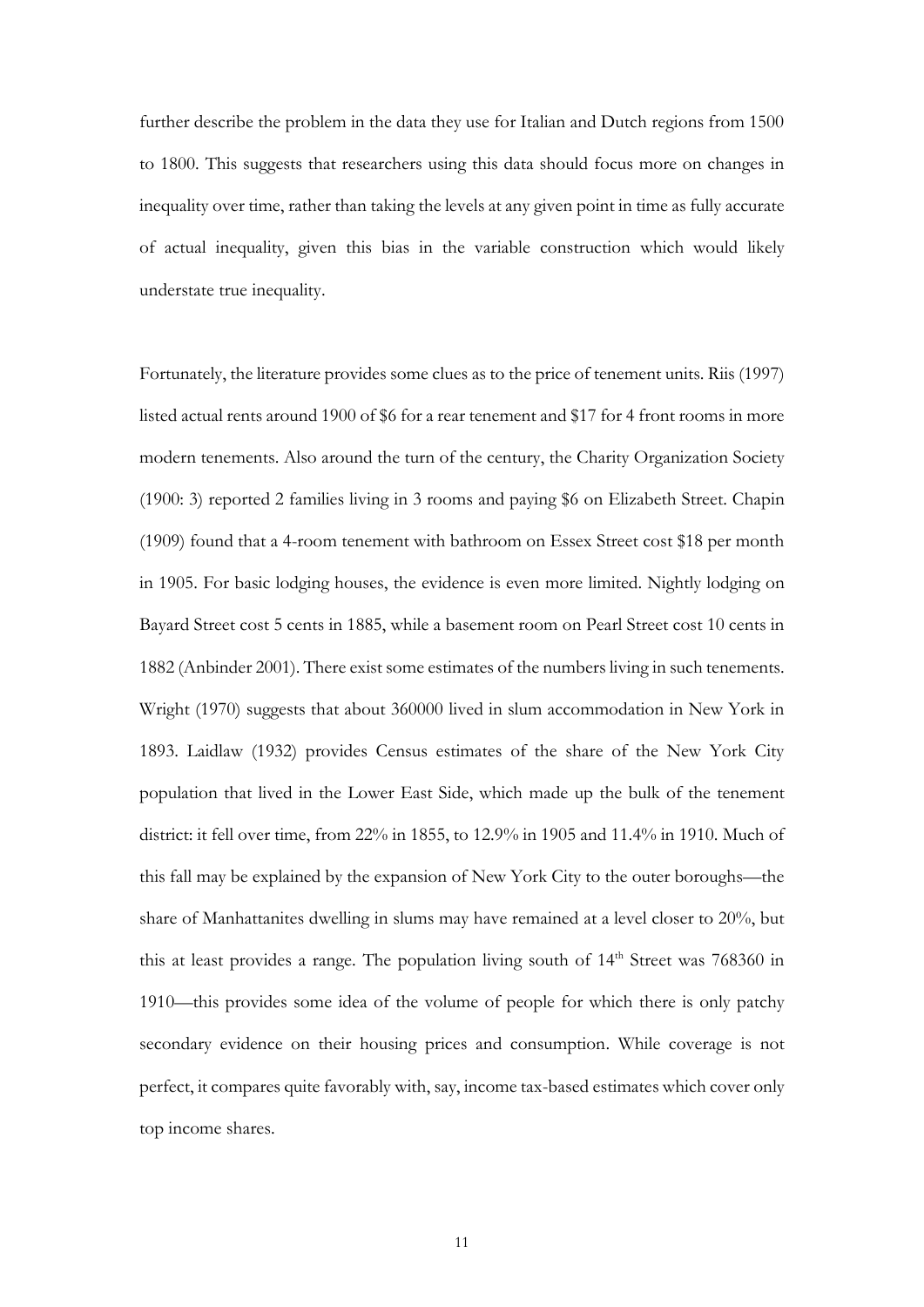further describe the problem in the data they use for Italian and Dutch regions from 1500 to 1800. This suggests that researchers using this data should focus more on changes in inequality over time, rather than taking the levels at any given point in time as fully accurate of actual inequality, given this bias in the variable construction which would likely understate true inequality.

Fortunately, the literature provides some clues as to the price of tenement units. Riis (1997) listed actual rents around 1900 of \$6 for a rear tenement and \$17 for 4 front rooms in more modern tenements. Also around the turn of the century, the Charity Organization Society (1900: 3) reported 2 families living in 3 rooms and paying \$6 on Elizabeth Street. Chapin (1909) found that a 4-room tenement with bathroom on Essex Street cost \$18 per month in 1905. For basic lodging houses, the evidence is even more limited. Nightly lodging on Bayard Street cost 5 cents in 1885, while a basement room on Pearl Street cost 10 cents in 1882 (Anbinder 2001). There exist some estimates of the numbers living in such tenements. Wright (1970) suggests that about 360000 lived in slum accommodation in New York in 1893. Laidlaw (1932) provides Census estimates of the share of the New York City population that lived in the Lower East Side, which made up the bulk of the tenement district: it fell over time, from 22% in 1855, to 12.9% in 1905 and 11.4% in 1910. Much of this fall may be explained by the expansion of New York City to the outer boroughs—the share of Manhattanites dwelling in slums may have remained at a level closer to 20%, but this at least provides a range. The population living south of  $14<sup>th</sup>$  Street was 768360 in 1910—this provides some idea of the volume of people for which there is only patchy secondary evidence on their housing prices and consumption. While coverage is not perfect, it compares quite favorably with, say, income tax-based estimates which cover only top income shares.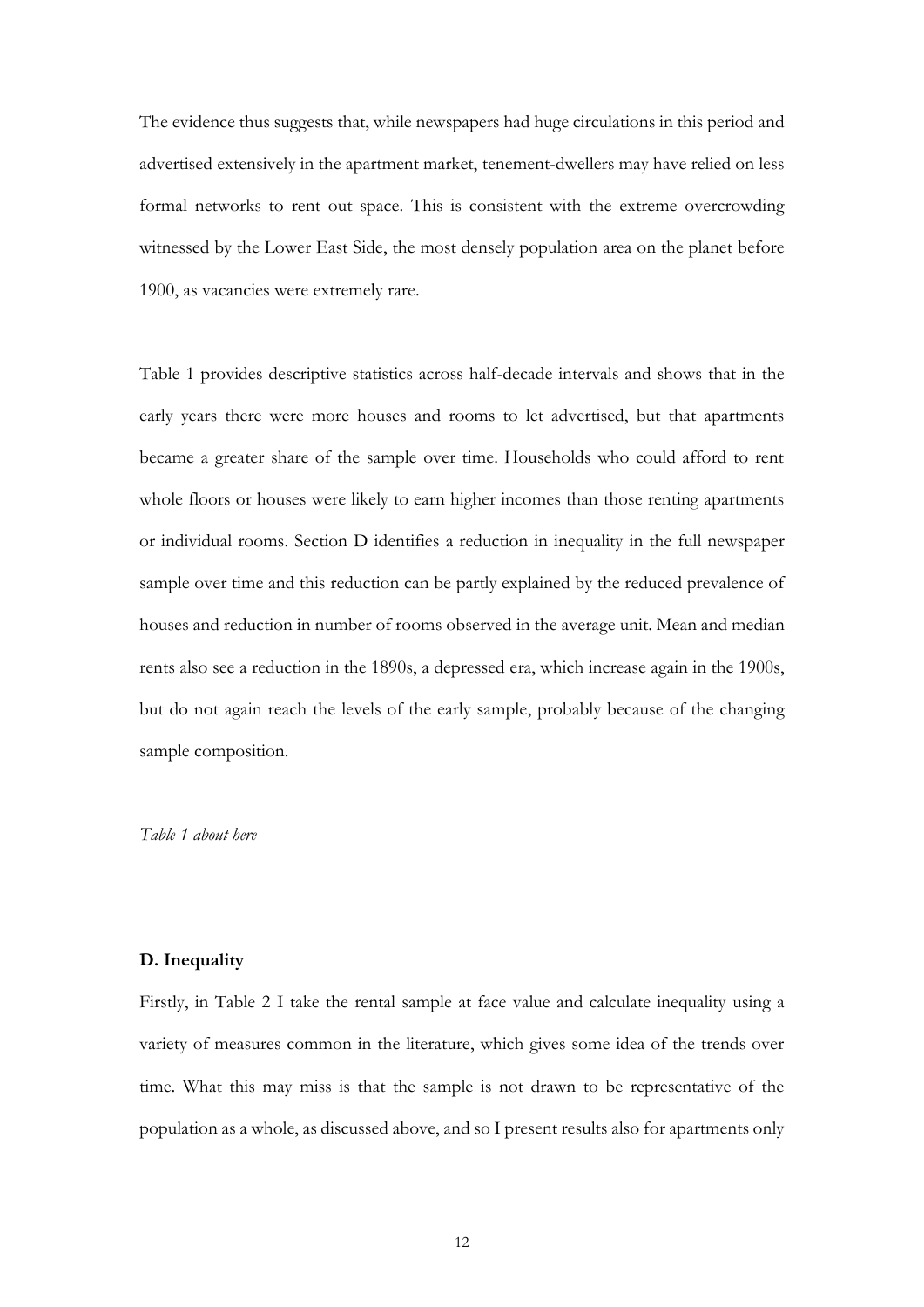The evidence thus suggests that, while newspapers had huge circulations in this period and advertised extensively in the apartment market, tenement-dwellers may have relied on less formal networks to rent out space. This is consistent with the extreme overcrowding witnessed by the Lower East Side, the most densely population area on the planet before 1900, as vacancies were extremely rare.

Table 1 provides descriptive statistics across half-decade intervals and shows that in the early years there were more houses and rooms to let advertised, but that apartments became a greater share of the sample over time. Households who could afford to rent whole floors or houses were likely to earn higher incomes than those renting apartments or individual rooms. Section D identifies a reduction in inequality in the full newspaper sample over time and this reduction can be partly explained by the reduced prevalence of houses and reduction in number of rooms observed in the average unit. Mean and median rents also see a reduction in the 1890s, a depressed era, which increase again in the 1900s, but do not again reach the levels of the early sample, probably because of the changing sample composition.

#### *Table 1 about here*

#### **D. Inequality**

Firstly, in Table 2 I take the rental sample at face value and calculate inequality using a variety of measures common in the literature, which gives some idea of the trends over time. What this may miss is that the sample is not drawn to be representative of the population as a whole, as discussed above, and so I present results also for apartments only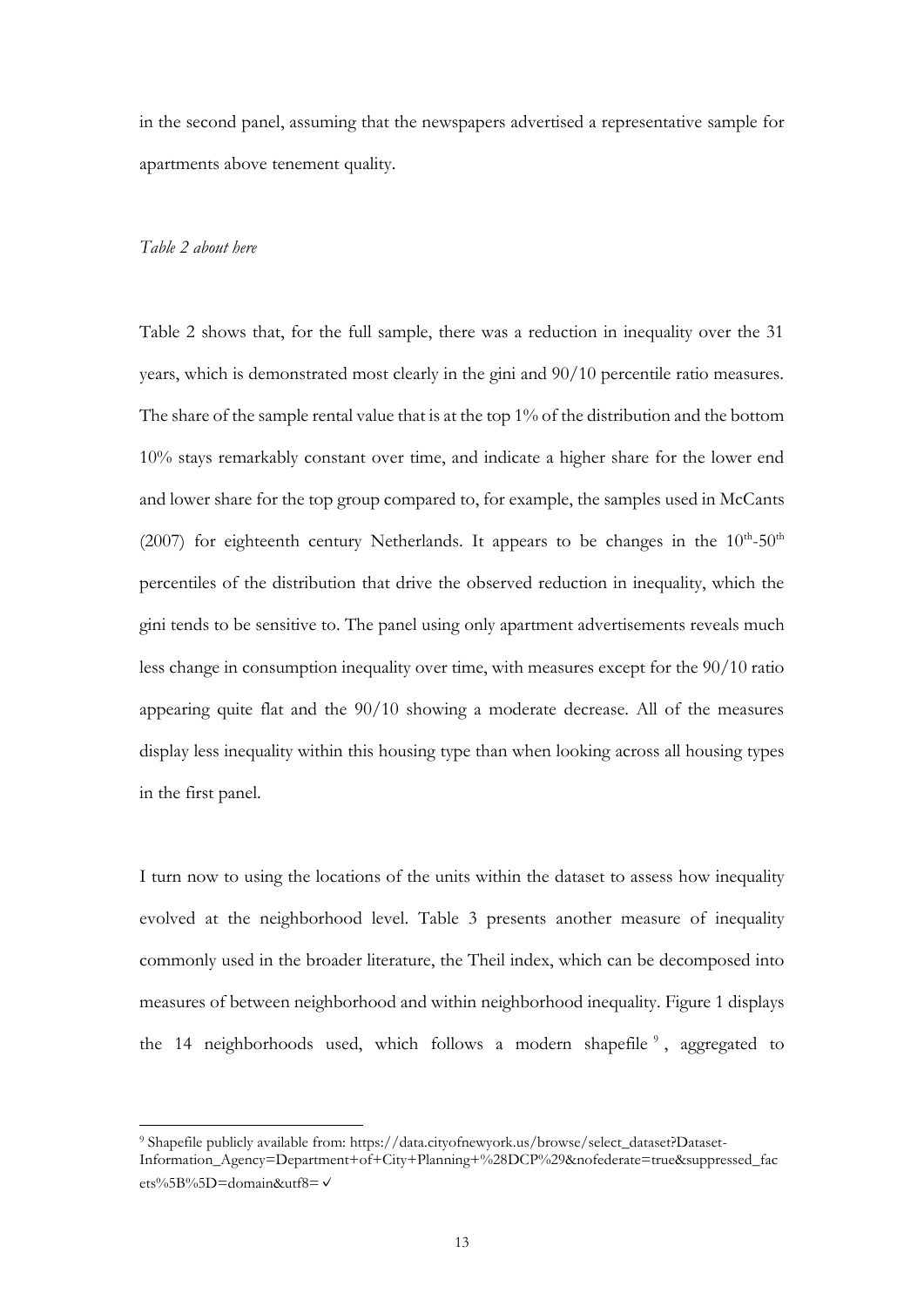in the second panel, assuming that the newspapers advertised a representative sample for apartments above tenement quality.

#### *Table 2 about here*

 $\overline{\phantom{a}}$ 

Table 2 shows that, for the full sample, there was a reduction in inequality over the 31 years, which is demonstrated most clearly in the gini and 90/10 percentile ratio measures. The share of the sample rental value that is at the top 1% of the distribution and the bottom 10% stays remarkably constant over time, and indicate a higher share for the lower end and lower share for the top group compared to, for example, the samples used in McCants (2007) for eighteenth century Netherlands. It appears to be changes in the  $10^{th}$ -50<sup>th</sup> percentiles of the distribution that drive the observed reduction in inequality, which the gini tends to be sensitive to. The panel using only apartment advertisements reveals much less change in consumption inequality over time, with measures except for the 90/10 ratio appearing quite flat and the 90/10 showing a moderate decrease. All of the measures display less inequality within this housing type than when looking across all housing types in the first panel.

I turn now to using the locations of the units within the dataset to assess how inequality evolved at the neighborhood level. Table 3 presents another measure of inequality commonly used in the broader literature, the Theil index, which can be decomposed into measures of between neighborhood and within neighborhood inequality. Figure 1 displays the 14 neighborhoods used, which follows a modern shapefile<sup>9</sup>, aggregated to

<sup>9</sup> Shapefile publicly available from: https://data.cityofnewyork.us/browse/select\_dataset?Dataset-Information\_Agency=Department+of+City+Planning+%28DCP%29&nofederate=true&suppressed\_fac ets%5B%5D=domain&utf8=✓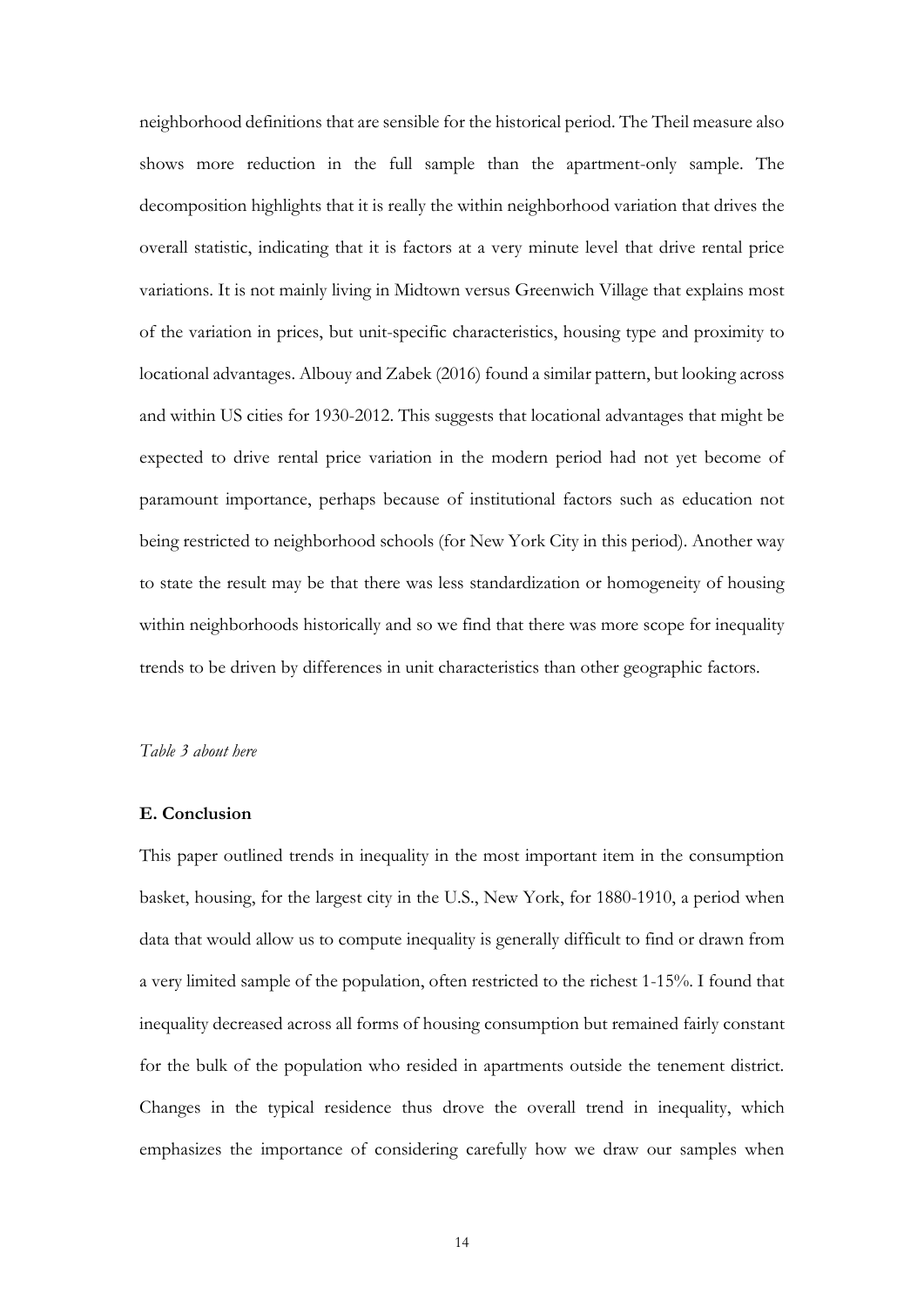neighborhood definitions that are sensible for the historical period. The Theil measure also shows more reduction in the full sample than the apartment-only sample. The decomposition highlights that it is really the within neighborhood variation that drives the overall statistic, indicating that it is factors at a very minute level that drive rental price variations. It is not mainly living in Midtown versus Greenwich Village that explains most of the variation in prices, but unit-specific characteristics, housing type and proximity to locational advantages. Albouy and Zabek (2016) found a similar pattern, but looking across and within US cities for 1930-2012. This suggests that locational advantages that might be expected to drive rental price variation in the modern period had not yet become of paramount importance, perhaps because of institutional factors such as education not being restricted to neighborhood schools (for New York City in this period). Another way to state the result may be that there was less standardization or homogeneity of housing within neighborhoods historically and so we find that there was more scope for inequality trends to be driven by differences in unit characteristics than other geographic factors.

#### *Table 3 about here*

#### **E. Conclusion**

This paper outlined trends in inequality in the most important item in the consumption basket, housing, for the largest city in the U.S., New York, for 1880-1910, a period when data that would allow us to compute inequality is generally difficult to find or drawn from a very limited sample of the population, often restricted to the richest 1-15%. I found that inequality decreased across all forms of housing consumption but remained fairly constant for the bulk of the population who resided in apartments outside the tenement district. Changes in the typical residence thus drove the overall trend in inequality, which emphasizes the importance of considering carefully how we draw our samples when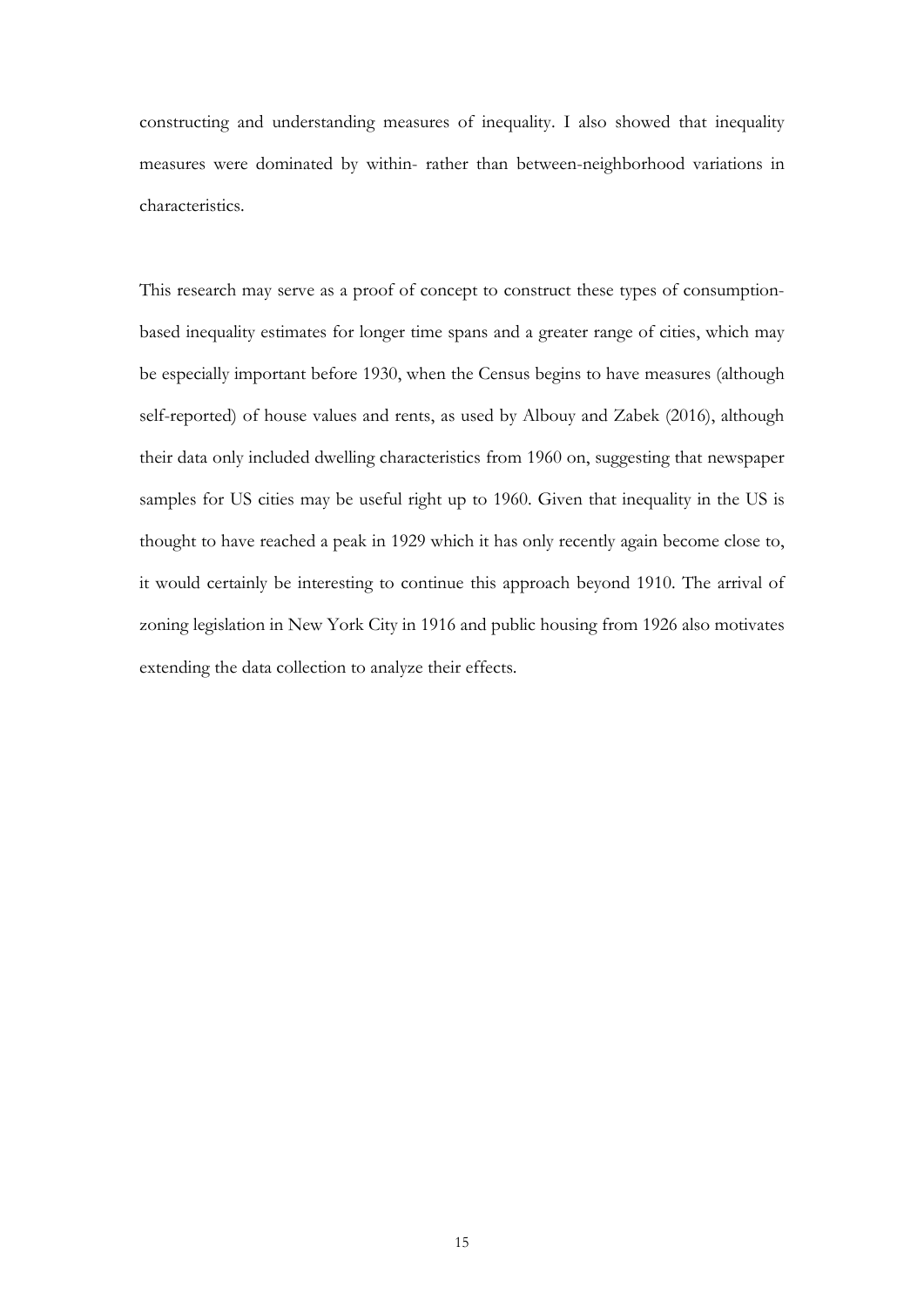constructing and understanding measures of inequality. I also showed that inequality measures were dominated by within- rather than between-neighborhood variations in characteristics.

This research may serve as a proof of concept to construct these types of consumptionbased inequality estimates for longer time spans and a greater range of cities, which may be especially important before 1930, when the Census begins to have measures (although self-reported) of house values and rents, as used by Albouy and Zabek (2016), although their data only included dwelling characteristics from 1960 on, suggesting that newspaper samples for US cities may be useful right up to 1960. Given that inequality in the US is thought to have reached a peak in 1929 which it has only recently again become close to, it would certainly be interesting to continue this approach beyond 1910. The arrival of zoning legislation in New York City in 1916 and public housing from 1926 also motivates extending the data collection to analyze their effects.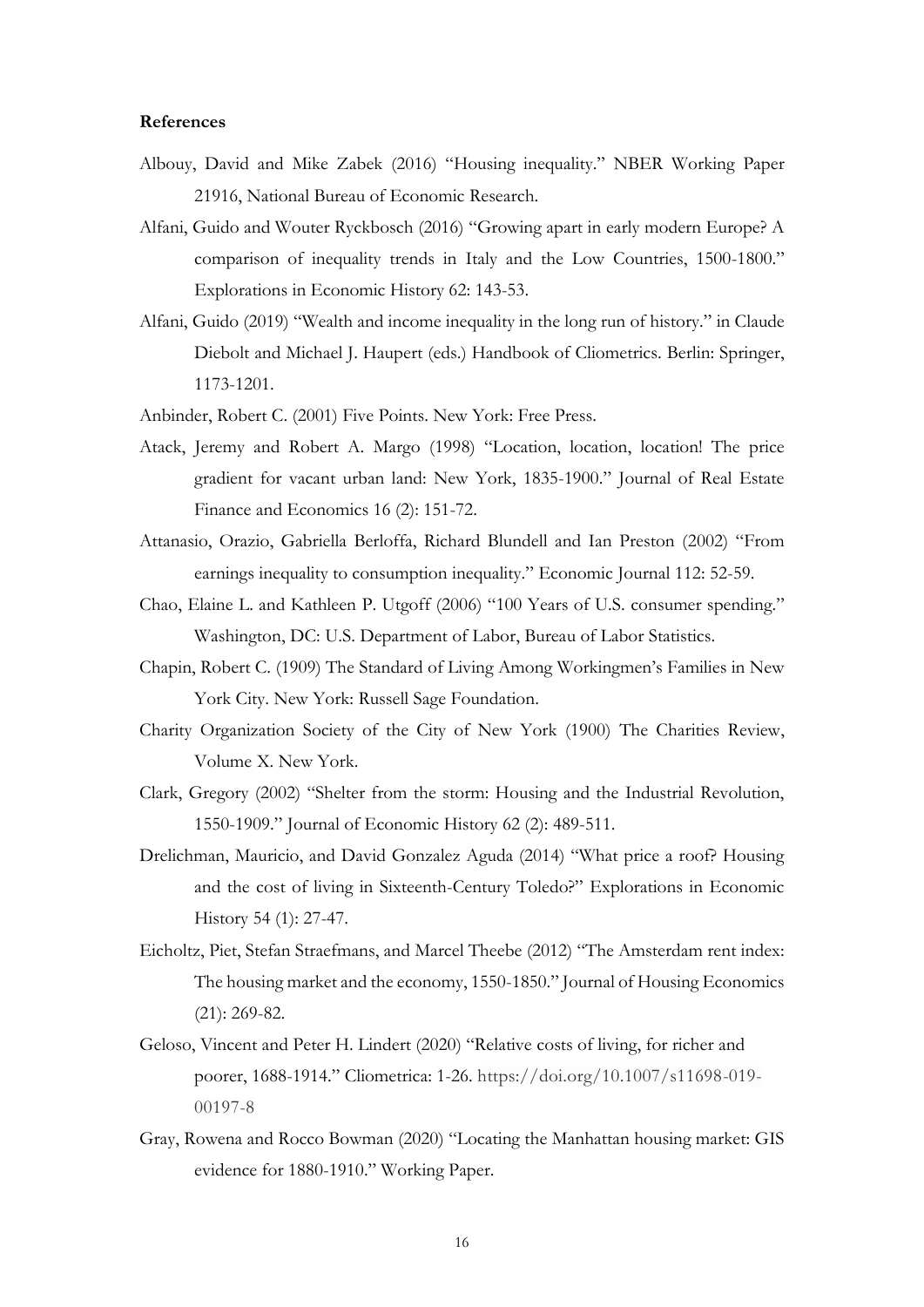#### **References**

- Albouy, David and Mike Zabek (2016) "Housing inequality." NBER Working Paper 21916, National Bureau of Economic Research.
- Alfani, Guido and Wouter Ryckbosch (2016) "Growing apart in early modern Europe? A comparison of inequality trends in Italy and the Low Countries, 1500-1800." Explorations in Economic History 62: 143-53.
- Alfani, Guido (2019) "Wealth and income inequality in the long run of history." in Claude Diebolt and Michael J. Haupert (eds.) Handbook of Cliometrics. Berlin: Springer, 1173-1201.
- Anbinder, Robert C. (2001) Five Points. New York: Free Press.
- Atack, Jeremy and Robert A. Margo (1998) "Location, location, location! The price gradient for vacant urban land: New York, 1835-1900." Journal of Real Estate Finance and Economics 16 (2): 151-72.
- Attanasio, Orazio, Gabriella Berloffa, Richard Blundell and Ian Preston (2002) "From earnings inequality to consumption inequality." Economic Journal 112: 52-59.
- Chao, Elaine L. and Kathleen P. Utgoff (2006) "100 Years of U.S. consumer spending." Washington, DC: U.S. Department of Labor, Bureau of Labor Statistics.
- Chapin, Robert C. (1909) The Standard of Living Among Workingmen's Families in New York City. New York: Russell Sage Foundation.
- Charity Organization Society of the City of New York (1900) The Charities Review, Volume X. New York.
- Clark, Gregory (2002) "Shelter from the storm: Housing and the Industrial Revolution, 1550-1909." Journal of Economic History 62 (2): 489-511.
- Drelichman, Mauricio, and David Gonzalez Aguda (2014) "What price a roof? Housing and the cost of living in Sixteenth-Century Toledo?" Explorations in Economic History 54 (1): 27-47.
- Eicholtz, Piet, Stefan Straefmans, and Marcel Theebe (2012) "The Amsterdam rent index: The housing market and the economy, 1550-1850." Journal of Housing Economics (21): 269-82.
- Geloso, Vincent and Peter H. Lindert (2020) "Relative costs of living, for richer and poorer, 1688-1914." Cliometrica: 1-26. https://doi.org/10.1007/s11698-019- 00197-8
- Gray, Rowena and Rocco Bowman (2020) "Locating the Manhattan housing market: GIS evidence for 1880-1910." Working Paper.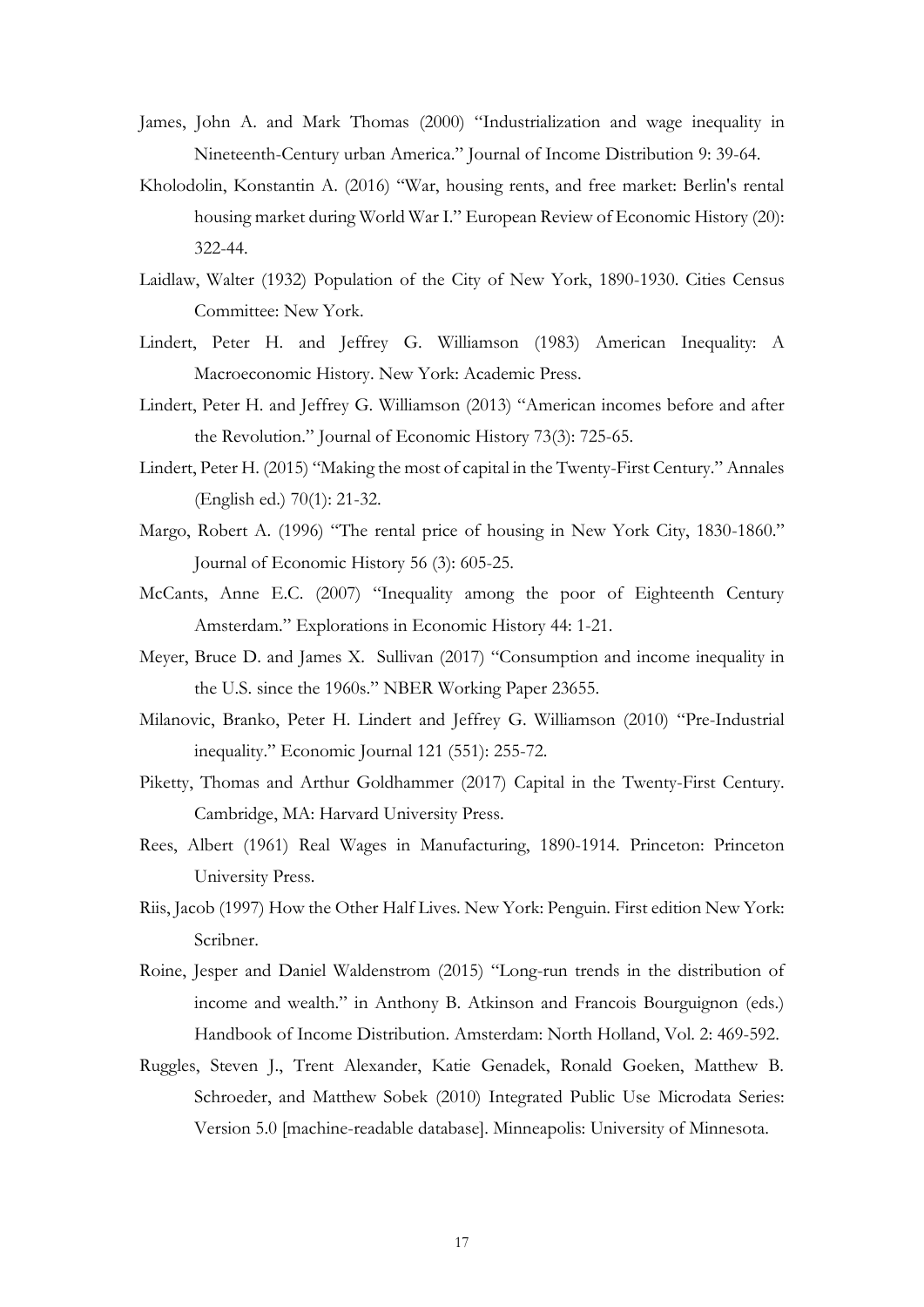- James, John A. and Mark Thomas (2000) "Industrialization and wage inequality in Nineteenth-Century urban America." Journal of Income Distribution 9: 39-64.
- Kholodolin, Konstantin A. (2016) "War, housing rents, and free market: Berlin's rental housing market during World War I." European Review of Economic History (20): 322-44.
- Laidlaw, Walter (1932) Population of the City of New York, 1890-1930. Cities Census Committee: New York.
- Lindert, Peter H. and Jeffrey G. Williamson (1983) American Inequality: A Macroeconomic History. New York: Academic Press.
- Lindert, Peter H. and Jeffrey G. Williamson (2013) "American incomes before and after the Revolution." Journal of Economic History 73(3): 725-65.
- Lindert, Peter H. (2015) "Making the most of capital in the Twenty-First Century." Annales (English ed.) 70(1): 21-32.
- Margo, Robert A. (1996) "The rental price of housing in New York City, 1830-1860." Journal of Economic History 56 (3): 605-25.
- McCants, Anne E.C. (2007) "Inequality among the poor of Eighteenth Century Amsterdam." Explorations in Economic History 44: 1-21.
- Meyer, Bruce D. and James X. Sullivan (2017) "Consumption and income inequality in the U.S. since the 1960s." NBER Working Paper 23655.
- Milanovic, Branko, Peter H. Lindert and Jeffrey G. Williamson (2010) "Pre-Industrial inequality." Economic Journal 121 (551): 255-72.
- Piketty, Thomas and Arthur Goldhammer (2017) Capital in the Twenty-First Century. Cambridge, MA: Harvard University Press.
- Rees, Albert (1961) Real Wages in Manufacturing, 1890-1914. Princeton: Princeton University Press.
- Riis, Jacob (1997) How the Other Half Lives. New York: Penguin. First edition New York: Scribner.
- Roine, Jesper and Daniel Waldenstrom (2015) "Long-run trends in the distribution of income and wealth." in Anthony B. Atkinson and Francois Bourguignon (eds.) Handbook of Income Distribution. Amsterdam: North Holland, Vol. 2: 469-592.
- Ruggles, Steven J., Trent Alexander, Katie Genadek, Ronald Goeken, Matthew B. Schroeder, and Matthew Sobek (2010) Integrated Public Use Microdata Series: Version 5.0 [machine-readable database]. Minneapolis: University of Minnesota.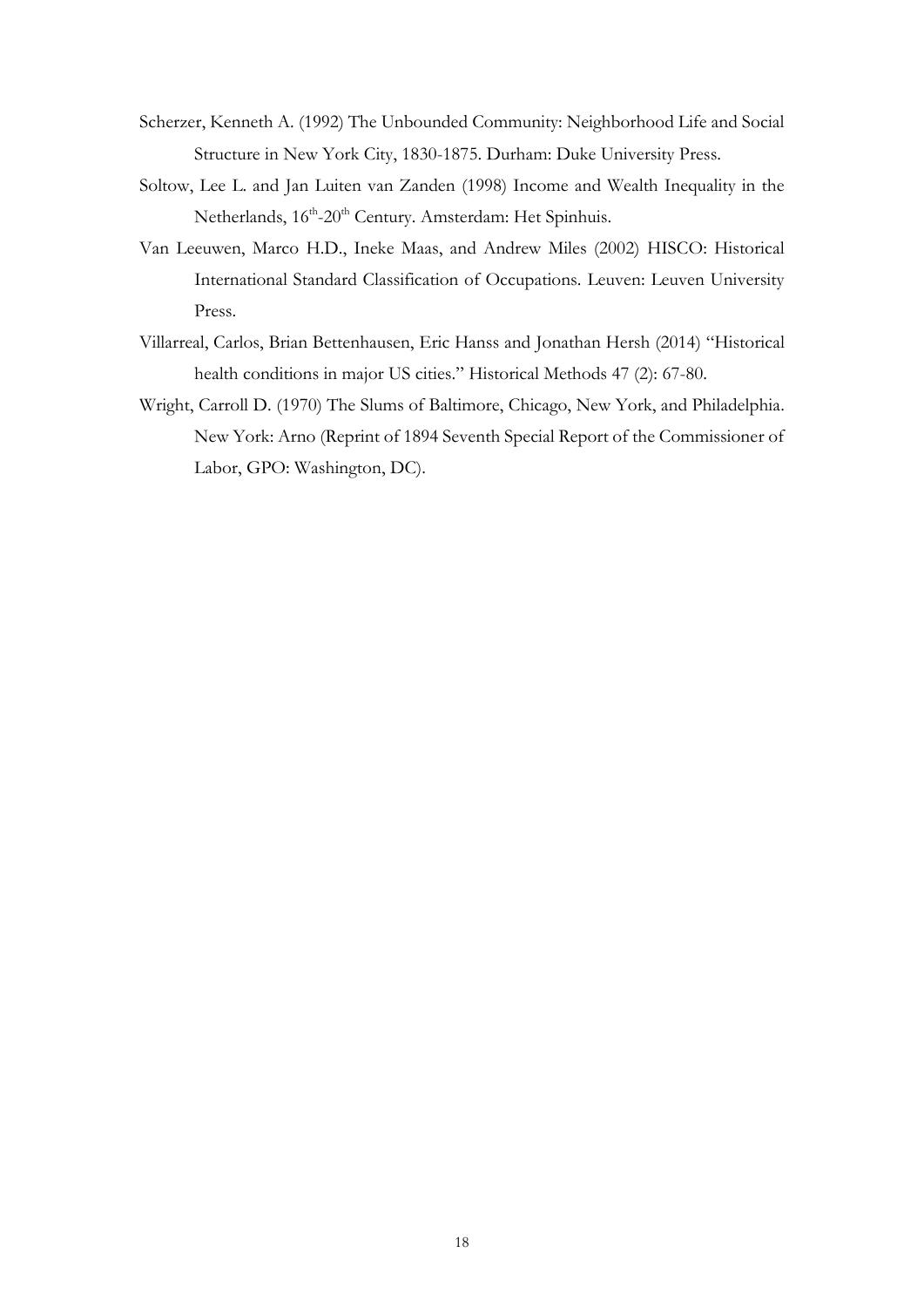- Scherzer, Kenneth A. (1992) The Unbounded Community: Neighborhood Life and Social Structure in New York City, 1830-1875. Durham: Duke University Press.
- Soltow, Lee L. and Jan Luiten van Zanden (1998) Income and Wealth Inequality in the Netherlands, 16<sup>th</sup>-20<sup>th</sup> Century. Amsterdam: Het Spinhuis.
- Van Leeuwen, Marco H.D., Ineke Maas, and Andrew Miles (2002) HISCO: Historical International Standard Classification of Occupations. Leuven: Leuven University Press.
- Villarreal, Carlos, Brian Bettenhausen, Eric Hanss and Jonathan Hersh (2014) "Historical health conditions in major US cities." Historical Methods 47 (2): 67-80.
- Wright, Carroll D. (1970) The Slums of Baltimore, Chicago, New York, and Philadelphia. New York: Arno (Reprint of 1894 Seventh Special Report of the Commissioner of Labor, GPO: Washington, DC).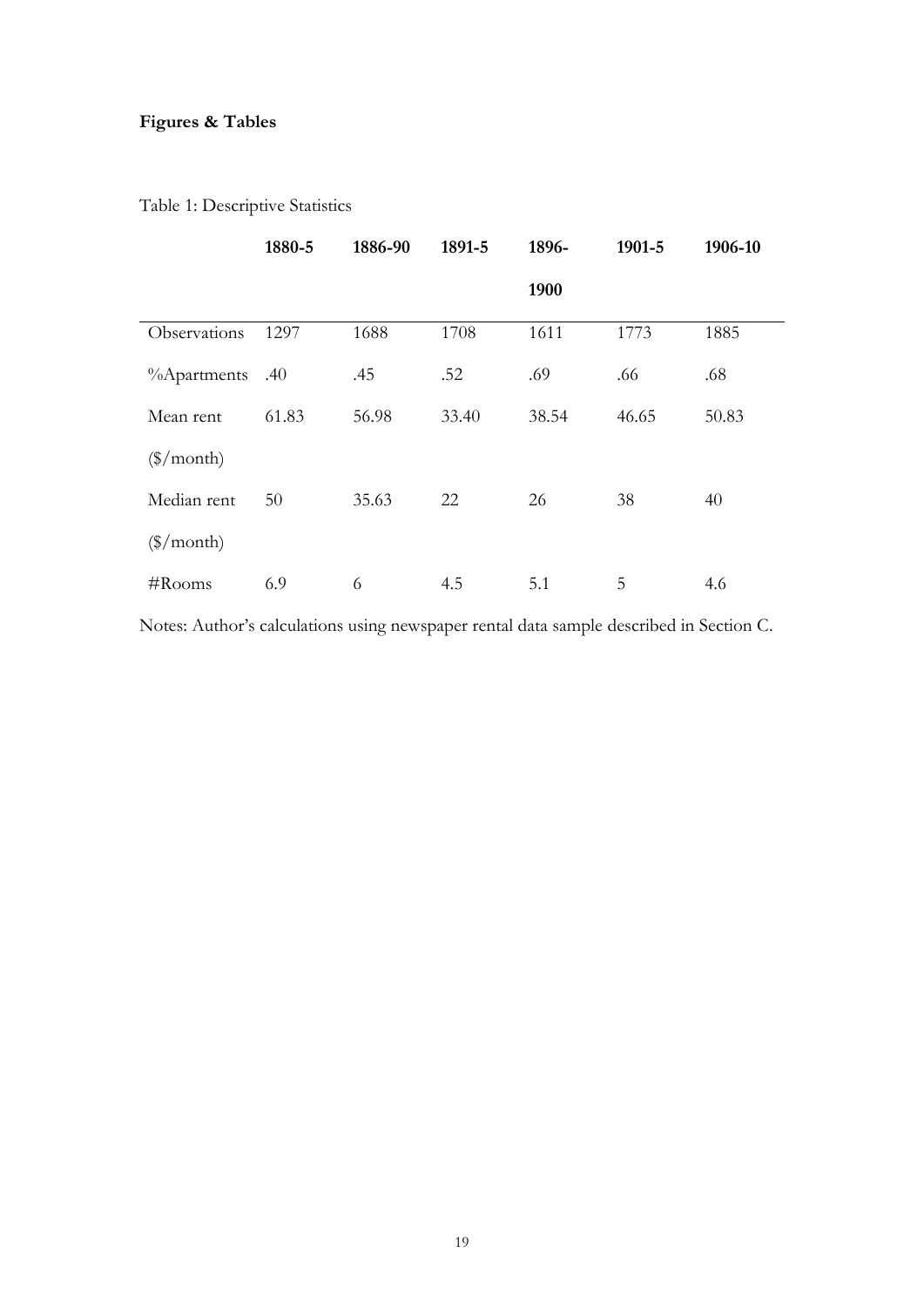## **Figures & Tables**

Table 1: Descriptive Statistics

|                        | 1880-5 | 1886-90 | 1891-5 | 1896- | 1901-5 | 1906-10 |
|------------------------|--------|---------|--------|-------|--------|---------|
|                        |        |         |        | 1900  |        |         |
| Observations           | 1297   | 1688    | 1708   | 1611  | 1773   | 1885    |
| %Apartments            | .40    | .45     | .52    | .69   | .66    | .68     |
| Mean rent              | 61.83  | 56.98   | 33.40  | 38.54 | 46.65  | 50.83   |
| $(\$/month)$           |        |         |        |       |        |         |
| Median rent            | 50     | 35.63   | 22     | 26    | 38     | 40      |
| $(\frac{\sqrt{2}}{2})$ |        |         |        |       |        |         |
| $#$ Rooms              | 6.9    | 6       | 4.5    | 5.1   | 5      | 4.6     |

Notes: Author's calculations using newspaper rental data sample described in Section C.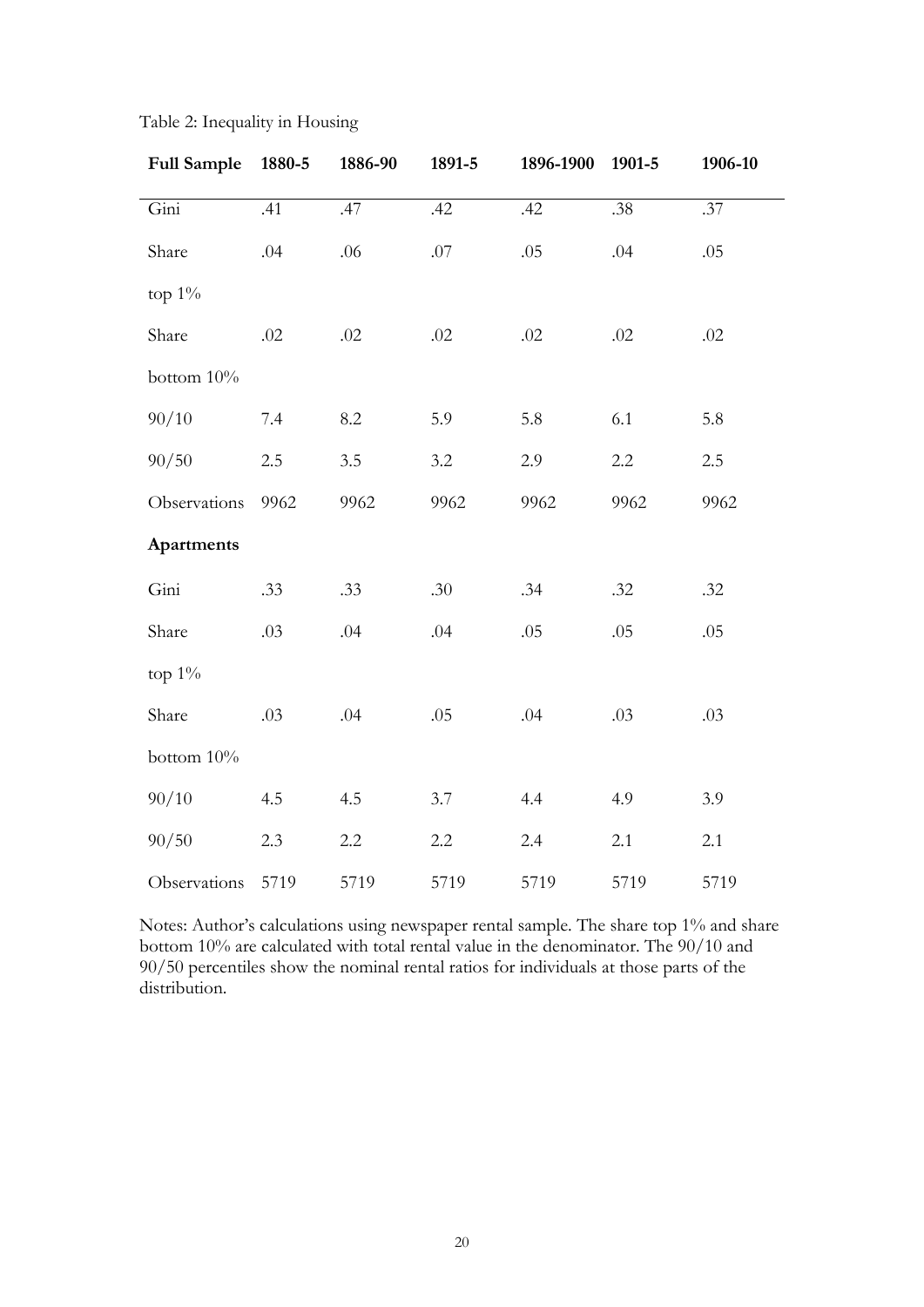| <b>Full Sample</b> | 1880-5 | 1886-90 | 1891-5 | 1896-1900 | 1901-5  | 1906-10 |
|--------------------|--------|---------|--------|-----------|---------|---------|
| Gini               | .41    | .47     | .42    | .42       | .38     | .37     |
| Share              | .04    | .06     | .07    | .05       | .04     | .05     |
| top $1\%$          |        |         |        |           |         |         |
| Share              | .02    | .02     | .02    | .02       | .02     | .02     |
| bottom $10\%$      |        |         |        |           |         |         |
| 90/10              | 7.4    | 8.2     | 5.9    | 5.8       | 6.1     | 5.8     |
| 90/50              | 2.5    | 3.5     | 3.2    | 2.9       | $2.2\,$ | 2.5     |
| Observations       | 9962   | 9962    | 9962   | 9962      | 9962    | 9962    |
| <b>Apartments</b>  |        |         |        |           |         |         |
| Gini               | .33    | .33     | .30    | .34       | .32     | .32     |
| Share              | .03    | .04     | .04    | .05       | .05     | .05     |
| top $1\%$          |        |         |        |           |         |         |
| Share              | .03    | .04     | .05    | .04       | .03     | .03     |
| bottom 10%         |        |         |        |           |         |         |
| 90/10              | 4.5    | 4.5     | 3.7    | 4.4       | 4.9     | 3.9     |
| 90/50              | 2.3    | 2.2     | 2.2    | 2.4       | 2.1     | 2.1     |
| Observations       | 5719   | 5719    | 5719   | 5719      | 5719    | 5719    |

### Table 2: Inequality in Housing

Notes: Author's calculations using newspaper rental sample. The share top 1% and share bottom 10% are calculated with total rental value in the denominator. The 90/10 and 90/50 percentiles show the nominal rental ratios for individuals at those parts of the distribution.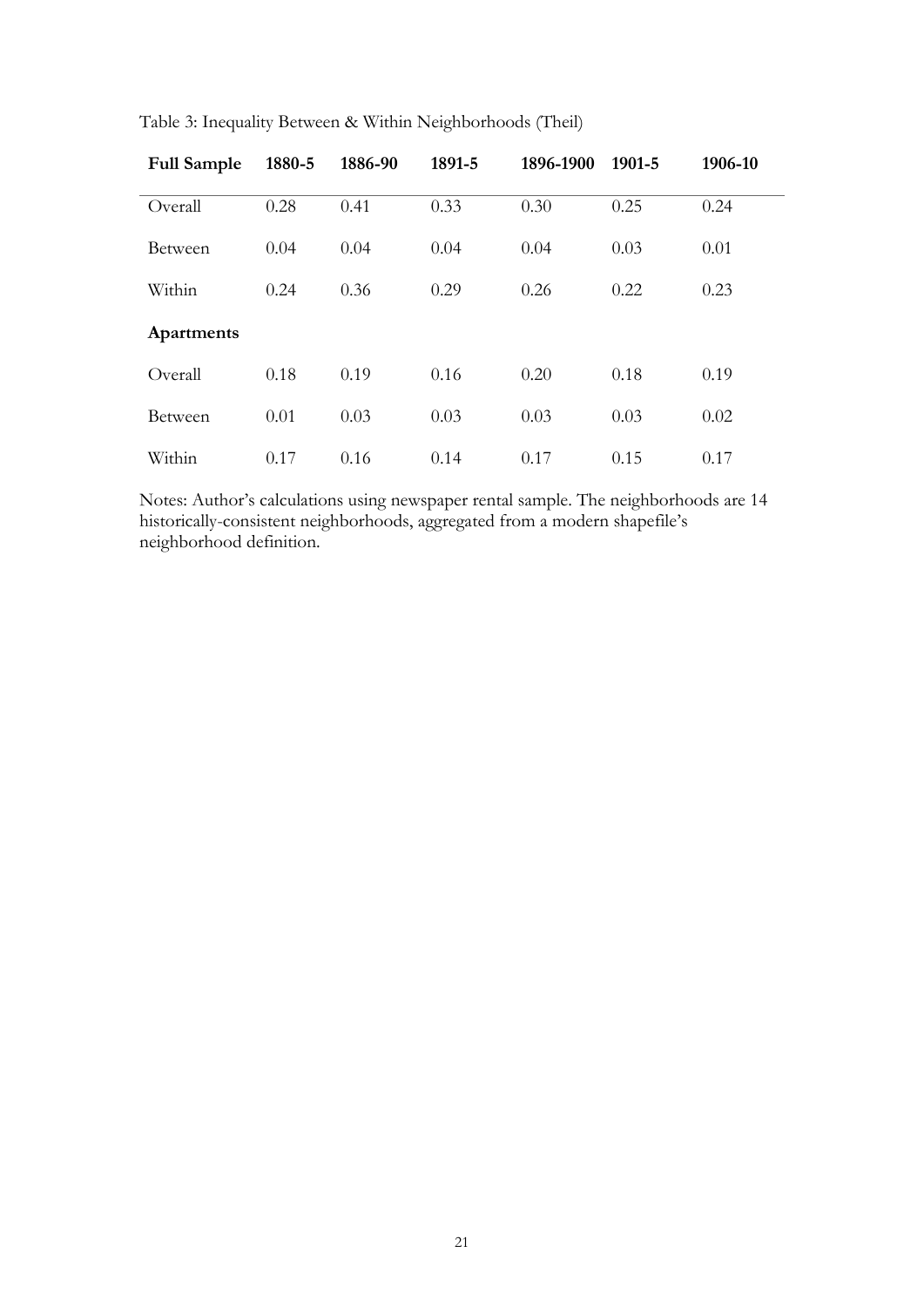| <b>Full Sample</b> | 1880-5 | 1886-90 | 1891-5 | 1896-1900 | 1901-5 | 1906-10 |
|--------------------|--------|---------|--------|-----------|--------|---------|
| Overall            | 0.28   | 0.41    | 0.33   | 0.30      | 0.25   | 0.24    |
| <b>Between</b>     | 0.04   | 0.04    | 0.04   | 0.04      | 0.03   | 0.01    |
| Within             | 0.24   | 0.36    | 0.29   | 0.26      | 0.22   | 0.23    |
| Apartments         |        |         |        |           |        |         |
| Overall            | 0.18   | 0.19    | 0.16   | 0.20      | 0.18   | 0.19    |
| <b>Between</b>     | 0.01   | 0.03    | 0.03   | 0.03      | 0.03   | 0.02    |
| Within             | 0.17   | 0.16    | 0.14   | 0.17      | 0.15   | 0.17    |

Table 3: Inequality Between & Within Neighborhoods (Theil)

Notes: Author's calculations using newspaper rental sample. The neighborhoods are 14 historically-consistent neighborhoods, aggregated from a modern shapefile's neighborhood definition.